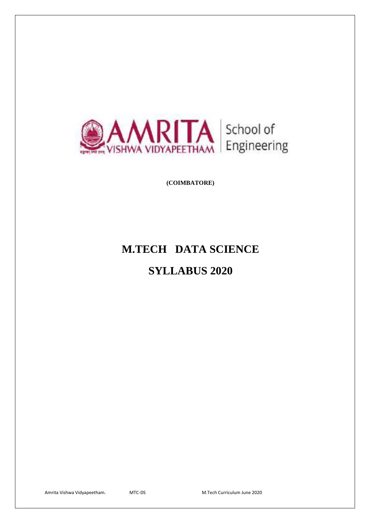

**(COIMBATORE)**

# **M.TECH DATA SCIENCE**

# **SYLLABUS 2020**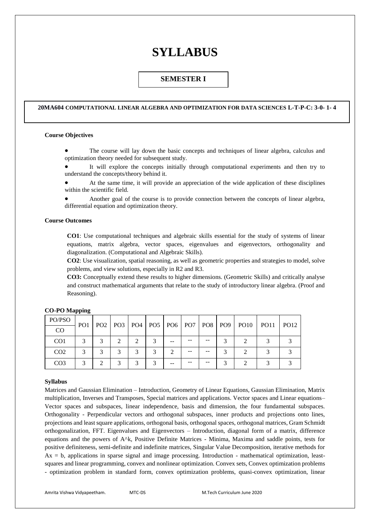# **SYLLABUS**

# **SEMESTER I**

#### **20MA604 COMPUTATIONAL LINEAR ALGEBRA AND OPTIMIZATION FOR DATA SCIENCES L-T-P-C: 3-0- 1- 4**

# **Course Objectives**

 The course will lay down the basic concepts and techniques of linear algebra, calculus and optimization theory needed for subsequent study.

 It will explore the concepts initially through computational experiments and then try to understand the concepts/theory behind it.

 At the same time, it will provide an appreciation of the wide application of these disciplines within the scientific field.

 Another goal of the course is to provide connection between the concepts of linear algebra, differential equation and optimization theory.

# **Course Outcomes**

**CO1**: Use computational techniques and algebraic skills essential for the study of systems of linear equations, matrix algebra, vector spaces, eigenvalues and eigenvectors, orthogonality and diagonalization. (Computational and Algebraic Skills).

**CO2**: Use visualization, spatial reasoning, as well as geometric properties and strategies to model, solve problems, and view solutions, especially in R2 and R3.

**CO3:** Conceptually extend these results to higher dimensions. (Geometric Skills) and critically analyse and construct mathematical arguments that relate to the study of introductory linear algebra. (Proof and Reasoning).

| PO/PSO          | PO <sub>1</sub> |                |   |   |    |  | PO2   PO3   PO4   PO5   PO6   PO7   PO8   PO9   PO10 | <b>PO11</b> | <b>PO12</b> |
|-----------------|-----------------|----------------|---|---|----|--|------------------------------------------------------|-------------|-------------|
| CO              |                 |                |   |   |    |  |                                                      |             |             |
| CO <sub>1</sub> |                 | $\mathfrak{D}$ | ↑ |   |    |  |                                                      |             |             |
| CO <sub>2</sub> |                 |                |   | 3 |    |  |                                                      |             |             |
| CO <sub>3</sub> |                 |                | ◠ | ⌒ | -- |  |                                                      |             |             |

# **CO-PO Mapping**

#### **Syllabus**

Matrices and Gaussian Elimination – Introduction, Geometry of Linear Equations, Gaussian Elimination, Matrix multiplication, Inverses and Transposes, Special matrices and applications. Vector spaces and Linear equations– Vector spaces and subspaces, linear independence, basis and dimension, the four fundamental subspaces. Orthogonality - Perpendicular vectors and orthogonal subspaces, inner products and projections onto lines, projections and least square applications, orthogonal basis, orthogonal spaces, orthogonal matrices, Gram Schmidt orthogonalization, FFT. Eigenvalues and Eigenvectors – Introduction, diagonal form of a matrix, difference equations and the powers of A^k, Positive Definite Matrices - Minima, Maxima and saddle points, tests for positive definiteness, semi-definite and indefinite matrices, Singular Value Decomposition, iterative methods for Ax = b, applications in sparse signal and image processing. Introduction - mathematical optimization, leastsquares and linear programming, convex and nonlinear optimization. Convex sets, Convex optimization problems - optimization problem in standard form, convex optimization problems, quasi-convex optimization, linear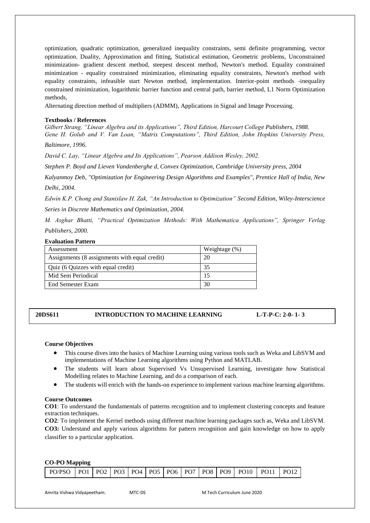optimization, quadratic optimization, generalized inequality constraints, semi definite programming, vector optimization. Duality, Approximation and fitting, Statistical estimation, Geometric problems, Unconstrained minimization- gradient descent method, steepest descent method, Newton's method. Equality constrained minimization - equality constrained minimization, eliminating equality constraints, Newton's method with equality constraints, infeasible start Newton method, implementation. Interior-point methods -inequality constrained minimization, logarithmic barrier function and central path, barrier method, L1 Norm Optimization methods,

Alternating direction method of multipliers (ADMM), Applications in Signal and Image Processing.

#### **Textbooks / References**

*Gilbert Strang, "Linear Algebra and its Applications", Third Edition, Harcourt College Publishers, 1988. Gene H. Golub and V. Van Loan, "Matrix Computations", Third Edition, John Hopkins University Press,* 

*Baltimore, 1996.*

*David C. Lay, "Linear Algebra and Its Applications", Pearson Addison Wesley, 2002.*

*Stephen P. Boyd and Lieven Vandenberghe d, Convex Optimization, Cambridge University press, 2004*

*Kalyanmoy Deb, "Optimization for Engineering Design Algorithms and Examples", Prentice Hall of India, New Delhi, 2004.* 

*Edwin K.P. Chong and Stanislaw H. Zak, "An Introduction to Optimization" Second Edition, Wiley-Interscience Series in Discrete Mathematics and Optimization, 2004.* 

*M. Asghar Bhatti, "Practical Optimization Methods: With Mathematica Applications", Springer Verlag Publishers, 2000.*

#### **Evaluation Pattern**

| Assessment                                    | Weightage (%) |
|-----------------------------------------------|---------------|
| Assignments (8 assignments with equal credit) | 20            |
| Quiz (6 Quizzes with equal credit)            | 35            |
| Mid Sem Periodical                            |               |
| <b>End Semester Exam</b>                      | 30            |

**20DS611 INTRODUCTION TO MACHINE LEARNING L-T-P-C: 2-0- 1- 3**

#### **Course Objectives**

- This course dives into the basics of Machine Learning using various tools such as Weka and LibSVM and implementations of Machine Learning algorithms using Python and MATLAB.
- The students will learn about Supervised Vs Unsupervised Learning, investigate how Statistical Modelling relates to Machine Learning, and do a comparison of each.
- The students will enrich with the hands-on experience to implement various machine learning algorithms.

#### **Course Outcomes**

**CO1**: To understand the fundamentals of patterns recognition and to implement clustering concepts and feature extraction techniques.

**CO2**: To implement the Kernel methods using different machine learning packages such as, Weka and LibSVM. **CO3:** Understand and apply various algorithms for pattern recognition and gain knowledge on how to apply classifier to a particular application.

# **CO-PO Mapping**

| PO/PSO   PO1   PO2   PO3   PO4   PO5   PO6   PO7   PO8   PO9   PO10   PO11   PO12 |
|-----------------------------------------------------------------------------------|
|-----------------------------------------------------------------------------------|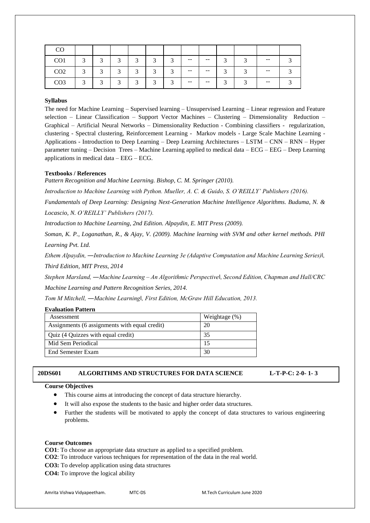| CO              |           |            |        |        |               |        |       |       |        |        |       |  |
|-----------------|-----------|------------|--------|--------|---------------|--------|-------|-------|--------|--------|-------|--|
| CO <sub>1</sub> | $\bigcap$ | $\bigcirc$ | $\sim$ | $\sim$ | $\mathcal{R}$ | $\sim$ | $- -$ | $- -$ | $\sim$ | $\sim$ | $- -$ |  |
| CO <sub>2</sub> | $\sim$    | $\bigcirc$ | $\sim$ | $\sim$ | $\mathbf{R}$  | $\sim$ | $- -$ | $- -$ |        |        | $- -$ |  |
| CO <sub>3</sub> | $\bigcap$ | $\sim$     | $\sim$ | $\sim$ | $\mathbf{R}$  | ◠      | $- -$ | $- -$ |        |        | $- -$ |  |

The need for Machine Learning – Supervised learning – Unsupervised Learning – Linear regression and Feature selection – Linear Classification – Support Vector Machines – Clustering – Dimensionality Reduction – Graphical – Artificial Neural Networks – Dimensionality Reduction - Combining classifiers - regularization, clustering - Spectral clustering, Reinforcement Learning - Markov models - Large Scale Machine Learning - Applications - Introduction to Deep Learning – Deep Learning Architectures – LSTM – CNN – RNN – Hyper parameter tuning – Decision Trees – Machine Learning applied to medical data – ECG – EEG – Deep Learning applications in medical data – EEG – ECG.

# **Textbooks / References**

*Pattern Recognition and Machine Learning. Bishop, C. M. Springer (2010).*

*Introduction to Machine Learning with Python. Mueller, A. C. & Guido, S. O'REILLY' Publishers (2016).*

*Fundamentals of Deep Learning: Designing Next-Generation Machine Intelligence Algorithms. Buduma, N. & Locascio, N. O'REILLY' Publishers (2017).*

*Introduction to Machine Learning, 2nd Edition. Alpaydin, E. MIT Press (2009).*

*Soman, K. P., Loganathan, R., & Ajay, V. (2009). Machine learning with SVM and other kernel methods. PHI Learning Pvt. Ltd.*

*Ethem Alpaydin, ―Introduction to Machine Learning 3e (Adaptive Computation and Machine Learning Series)‖, Third Edition, MIT Press, 2014* 

*Stephen Marsland, ―Machine Learning – An Algorithmic Perspective‖, Second Edition, Chapman and Hall/CRC Machine Learning and Pattern Recognition Series, 2014.* 

*Tom M Mitchell, ―Machine Learning‖, First Edition, McGraw Hill Education, 2013.*

| llyahuation Pattern                           |               |  |  |  |  |  |  |  |
|-----------------------------------------------|---------------|--|--|--|--|--|--|--|
| Assessment                                    | Weightage (%) |  |  |  |  |  |  |  |
| Assignments (6 assignments with equal credit) | 20            |  |  |  |  |  |  |  |
| Quiz (4 Quizzes with equal credit)            | 35            |  |  |  |  |  |  |  |
| Mid Sem Periodical                            |               |  |  |  |  |  |  |  |
| End Semester Exam                             | 30            |  |  |  |  |  |  |  |
|                                               |               |  |  |  |  |  |  |  |

# **20DS601 ALGORITHMS AND STRUCTURES FOR DATA SCIENCE L-T-P-C: 2-0- 1- 3**

#### **Course Objectives**

**Evaluation Pattern**

- This course aims at introducing the concept of data structure hierarchy.
- It will also expose the students to the basic and higher order data structures.
- Further the students will be motivated to apply the concept of data structures to various engineering problems.

#### **Course Outcomes**

**CO1**: To choose an appropriate data structure as applied to a specified problem.

- **CO2**: To introduce various techniques for representation of the data in the real world.
- **CO3:** To develop application using data structures
- **CO4:** To improve the logical ability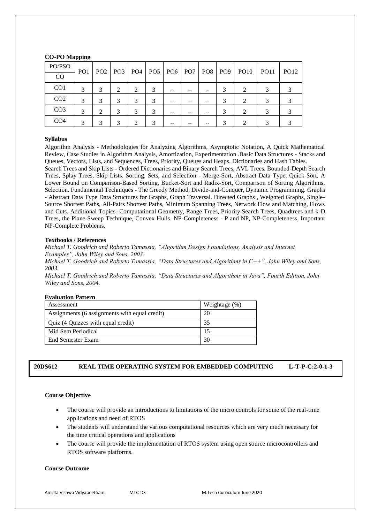# **CO-PO Mapping**

| PO/PSO          | PO <sub>1</sub> |              |   |   |               |    |    |  | PO2   PO3   PO4   PO5   PO6   PO7   PO8   PO9   PO10 | PO11 | <b>PO12</b> |
|-----------------|-----------------|--------------|---|---|---------------|----|----|--|------------------------------------------------------|------|-------------|
| CO              |                 |              |   |   |               |    |    |  |                                                      |      |             |
| CO <sub>1</sub> | 3               | 3            | 2 | 2 | 3             | -- |    |  |                                                      | 3    |             |
| CO <sub>2</sub> | 3               | 3            | 3 | 3 | $\mathcal{R}$ | -- | -- |  | $\mathcal{D}_{\mathcal{L}}$                          | 2    |             |
| CO <sub>3</sub> | 3               | ↑            |   |   |               | -- |    |  | ∍                                                    |      |             |
| CO <sub>4</sub> | 2               | $\mathbf{z}$ |   | ◠ |               |    |    |  |                                                      |      |             |

# **Syllabus**

Algorithm Analysis - Methodologies for Analyzing Algorithms, Asymptotic Notation, A Quick Mathematical Review, Case Studies in Algorithm Analysis, Amortization, Experimentation .Basic Data Structures - Stacks and Queues, Vectors, Lists, and Sequences, Trees, Priority, Queues and Heaps, Dictionaries and Hash Tables.

Search Trees and Skip Lists - Ordered Dictionaries and Binary Search Trees, AVL Trees. Bounded-Depth Search Trees, Splay Trees, Skip Lists. Sorting, Sets, and Selection - Merge-Sort, Abstract Data Type, Quick-Sort, A Lower Bound on Comparison-Based Sorting, Bucket-Sort and Radix-Sort, Comparison of Sorting Algorithms, Selection. Fundamental Techniques - The Greedy Method, Divide-and-Conquer, Dynamic Programming. Graphs - Abstract Data Type Data Structures for Graphs, Graph Traversal. Directed Graphs , Weighted Graphs, Single-Source Shortest Paths, All-Pairs Shortest Paths, Minimum Spanning Trees, Network Flow and Matching, Flows and Cuts. Additional Topics- Computational Geometry, Range Trees, Priority Search Trees, Quadtrees and k-D Trees, the Plane Sweep Technique, Convex Hulls. NP-Completeness - P and NP, NP-Completeness, Important NP-Complete Problems.

# **Textbooks / References**

*Michael T. Goodrich and Roberto Tamassia, "Algorithm Design Foundations, Analysis and Internet Examples", John Wiley and Sons, 2003.* 

*Michael T. Goodrich and Roberto Tamassia, "Data Structures and Algorithms in C++", John Wiley and Sons, 2003.* 

*Michael T. Goodrich and Roberto Tamassia, "Data Structures and Algorithms in Java", Fourth Edition, John Wiley and Sons, 2004.*

# **Evaluation Pattern**

| Assessment                                    | Weightage $(\%)$ |
|-----------------------------------------------|------------------|
| Assignments (6 assignments with equal credit) | 20               |
| Quiz (4 Quizzes with equal credit)            | 35               |
| Mid Sem Periodical                            | 15               |
| End Semester Exam                             | 30               |

# **20DS612 REAL TIME OPERATING SYSTEM FOR EMBEDDED COMPUTING L-T-P-C:2-0-1-3**

# **Course Objective**

- The course will provide an introductions to limitations of the micro controls for some of the real-time applications and need of RTOS
- The students will understand the various computational resources which are very much necessary for the time critical operations and applications
- The course will provide the implementation of RTOS system using open source microcontrollers and RTOS software platforms.

#### **Course Outcome**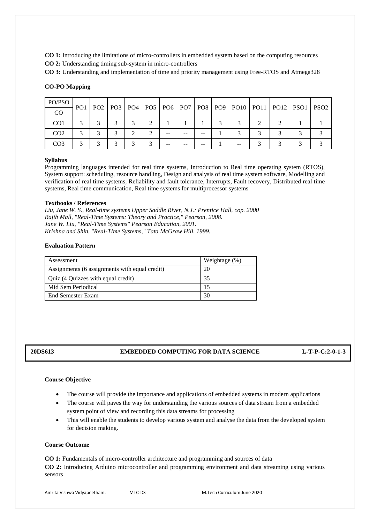**CO 1:** Introducing the limitations of micro-controllers in embedded system based on the computing resources

**CO 2:** Understanding timing sub-system in micro-controllers

**CO 3:** Understanding and implementation of time and priority management using Free-RTOS and Atmega328

# **CO-PO Mapping**

| PO/PSO          | PO <sub>1</sub> |        |   |               |   |       |    |              |  |                                                                                  |  |
|-----------------|-----------------|--------|---|---------------|---|-------|----|--------------|--|----------------------------------------------------------------------------------|--|
| CO              |                 |        |   |               |   |       |    |              |  | PO2   PO3   PO4   PO5   PO6   PO7   PO8   PO9   PO10   PO11   PO12   PSO1   PSO2 |  |
| CO <sub>1</sub> | 3               | $\sim$ | 2 | $\rightarrow$ | ◠ |       |    | $\mathbf{c}$ |  |                                                                                  |  |
| CO <sub>2</sub> |                 |        | 2 |               |   | $- -$ | -- |              |  |                                                                                  |  |
| CO <sub>3</sub> |                 |        | 2 |               |   |       |    |              |  |                                                                                  |  |

# **Syllabus**

Programming languages intended for real time systems, Introduction to Real time operating system (RTOS), System support: scheduling, resource handling, Design and analysis of real time system software, Modelling and verification of real time systems, Reliability and fault tolerance, Interrupts, Fault recovery, Distributed real time systems, Real time communication, Real time systems for multiprocessor systems

# **Textbooks / References**

*Liu, Jane W. S., Real-time systems Upper Saddle River, N.J.: Prentice Hall, cop. 2000 Rajib Mall, "Real-Time Systems: Theory and Practice," Pearson, 2008. Jane W. Liu, "Real-Time Systems" Pearson Education, 2001. Krishna and Shin, "Real-TIme Systems," Tata McGraw Hill. 1999.*

# **Evaluation Pattern**

| Assessment                                    | Weightage $(\%)$ |
|-----------------------------------------------|------------------|
| Assignments (6 assignments with equal credit) | 20               |
| Quiz (4 Quizzes with equal credit)            | 35               |
| Mid Sem Periodical                            |                  |
| End Semester Exam                             | 30               |

# **20DS613 EMBEDDED COMPUTING FOR DATA SCIENCE L-T-P-C:2-0-1-3**

# **Course Objective**

- The course will provide the importance and applications of embedded systems in modern applications
- The course will paves the way for understanding the various sources of data stream from a embedded system point of view and recording this data streams for processing
- This will enable the students to develop various system and analyse the data from the developed system for decision making.

# **Course Outcome**

**CO 1:** Fundamentals of micro-controller architecture and programming and sources of data

**CO 2:** Introducing Arduino microcontroller and programming environment and data streaming using various sensors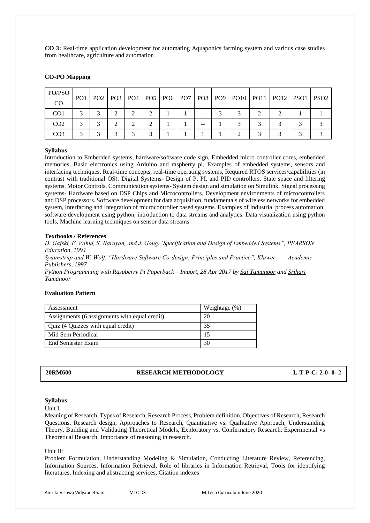**CO 3:** Real-time application development for automating Aquaponics farming system and various case studies from healthcare, agriculture and automation

# **CO-PO Mapping**

| PO/PSO          | PO <sub>1</sub> |  |  |  |    |  |  | PO2   PO3   PO4   PO5   PO6   PO7   PO8   PO9   PO10   PO11   PO12   PSO1   PSO2 |  |
|-----------------|-----------------|--|--|--|----|--|--|----------------------------------------------------------------------------------|--|
| CO              |                 |  |  |  |    |  |  |                                                                                  |  |
| CO <sub>1</sub> |                 |  |  |  | -- |  |  |                                                                                  |  |
| CO <sub>2</sub> |                 |  |  |  | -- |  |  |                                                                                  |  |
| CO <sub>3</sub> |                 |  |  |  |    |  |  |                                                                                  |  |

#### **Syllabus**

Introduction to Embedded systems, hardware/software code sign, Embedded micro controller cores, embedded memories, Basic electronics using Arduino and raspberry pi, Examples of embedded systems, sensors and interfacing techniques, Real-time concepts, real-time operating systems, Required RTOS services/capabilities (in contrast with traditional OS). Digital Systems- Design of P, PI, and PID controllers. State space and filtering systems. Motor Controls. Communication systems- System design and simulation on Simulink. Signal processing systems- Hardware based on DSP Chips and Microcontrollers, Development environments of microcontrollers and DSP processors. Software development for data acquisition, fundamentals of wireless networks for embedded system, Interfacing and Integration of microcontroller based systems. Examples of Industrial process automation, software development using python, introduction to data streams and analytics. Data visualization using python tools, Machine learning techniques on sensor data streams

#### **Textbooks / References**

*D. Gajski, F. Vahid, S. Narayan, and J. Gong."Specification and Design of Embedded Systems", PEARSON Education, 1994 Syaunstrup and W. Wolf. "Hardware Software Co-design: Principles and Practice", Kluwer, Academic Publishers, 1997 Python Programming with Raspberry Pi Paperback – Import, 28 Apr 2017 by [Sai Yamanoor](https://www.amazon.in/s/ref=dp_byline_sr_book_1?ie=UTF8&field-author=Sai+Yamanoor&search-alias=stripbooks) an[d Srihari](https://www.amazon.in/s/ref=dp_byline_sr_book_2?ie=UTF8&field-author=Srihari+Yamanoor&search-alias=stripbooks)  [Yamanoor](https://www.amazon.in/s/ref=dp_byline_sr_book_2?ie=UTF8&field-author=Srihari+Yamanoor&search-alias=stripbooks)*

# **Evaluation Pattern**

| Assessment                                    | Weightage (%) |
|-----------------------------------------------|---------------|
| Assignments (6 assignments with equal credit) | 20            |
| Quiz (4 Quizzes with equal credit)            | 35            |
| Mid Sem Periodical                            |               |
| End Semester Exam                             | 30            |

# **20RM600 RESEARCH METHODOLOGY L-T-P-C: 2-0- 0- 2**

### **Syllabus**

Unit I:

Meaning of Research, Types of Research, Research Process, Problem definition, Objectives of Research, Research Questions, Research design, Approaches to Research, Quantitative vs. Qualitative Approach, Understanding Theory, Building and Validating Theoretical Models, Exploratory vs. Confirmatory Research, Experimental vs Theoretical Research, Importance of reasoning in research.

Unit II:

Problem Formulation, Understanding Modeling & Simulation, Conducting Literature Review, Referencing, Information Sources, Information Retrieval, Role of libraries in Information Retrieval, Tools for identifying literatures, Indexing and abstracting services, Citation indexes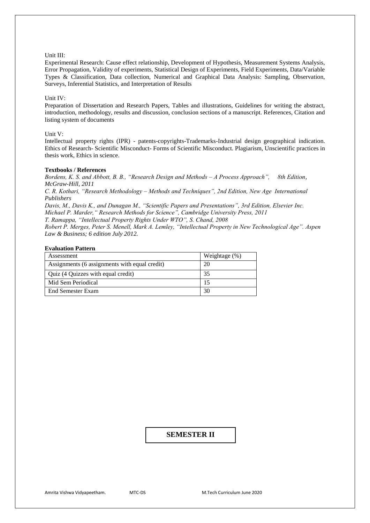### Unit III:

Experimental Research: Cause effect relationship, Development of Hypothesis, Measurement Systems Analysis, Error Propagation, Validity of experiments, Statistical Design of Experiments, Field Experiments, Data/Variable Types & Classification, Data collection, Numerical and Graphical Data Analysis: Sampling, Observation, Surveys, Inferential Statistics, and Interpretation of Results

#### Unit IV:

Preparation of Dissertation and Research Papers, Tables and illustrations, Guidelines for writing the abstract, introduction, methodology, results and discussion, conclusion sections of a manuscript. References, Citation and listing system of documents

#### Unit V:

Intellectual property rights (IPR) - patents-copyrights-Trademarks-Industrial design geographical indication. Ethics of Research- Scientific Misconduct- Forms of Scientific Misconduct. Plagiarism, Unscientific practices in thesis work, Ethics in science.

# **Textbooks / References**

*Bordens, K. S. and Abbott, B. B., "Research Design and Methods – A Process Approach", 8th Edition, McGraw-Hill, 2011*

*C. R. Kothari, "Research Methodology – Methods and Techniques", 2nd Edition, New Age International Publishers*

*Davis, M., Davis K., and Dunagan M., "Scientific Papers and Presentations", 3rd Edition, Elsevier Inc. Michael P. Marder," Research Methods for Science", Cambridge University Press, 2011*

*T. Ramappa, "Intellectual Property Rights Under WTO", S. Chand, 2008* 

*Robert P. Merges, Peter S. Menell, Mark A. Lemley, "Intellectual Property in New Technological Age". Aspen Law & Business; 6 edition July 2012.*

# **Evaluation Pattern**

| Assessment                                    | Weightage $(\%)$ |
|-----------------------------------------------|------------------|
| Assignments (6 assignments with equal credit) | 20               |
| Quiz (4 Quizzes with equal credit)            |                  |
| Mid Sem Periodical                            | 15               |
| End Semester Exam                             | 30               |

# **SEMESTER II**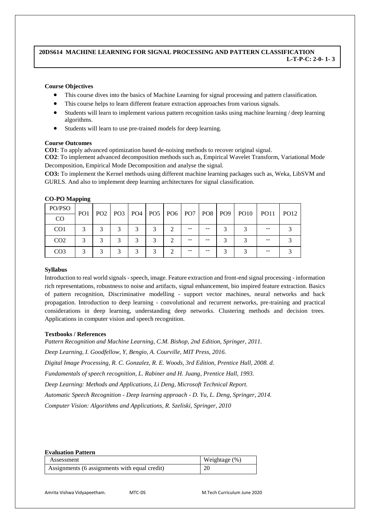# **20DS614 MACHINE LEARNING FOR SIGNAL PROCESSING AND PATTERN CLASSIFICATION L-T-P-C: 2-0- 1- 3**

# **Course Objectives**

- This course dives into the basics of Machine Learning for signal processing and pattern classification.
- This course helps to learn different feature extraction approaches from various signals.
- Students will learn to implement various pattern recognition tasks using machine learning / deep learning algorithms.
- Students will learn to use pre-trained models for deep learning.

#### **Course Outcomes**

**CO1**: To apply advanced optimization based de-noising methods to recover original signal.

**CO2**: To implement advanced decomposition methods such as, Empirical Wavelet Transform, Variational Mode Decomposition, Empirical Mode Decomposition and analyse the signal.

**CO3:** To implement the Kernel methods using different machine learning packages such as, Weka, LibSVM and GURLS. And also to implement deep learning architectures for signal classification.

# **CO-PO Mapping**

| PO/PSO          | PO <sub>1</sub> |   |   |   |    |  | PO2   PO3   PO4   PO5   PO6   PO7   PO8   PO9   PO10   PO11 | PO12 |
|-----------------|-----------------|---|---|---|----|--|-------------------------------------------------------------|------|
| CO              |                 |   |   |   |    |  |                                                             |      |
| CO <sub>1</sub> |                 |   | 2 | 2 | -- |  |                                                             |      |
| CO <sub>2</sub> |                 |   |   |   |    |  |                                                             |      |
| CO <sub>3</sub> |                 | ⌒ | ⌒ | ⌒ | -- |  |                                                             |      |

#### **Syllabus**

Introduction to real world signals -speech, image. Feature extraction and front-end signal processing - information rich representations, robustness to noise and artifacts, signal enhancement, bio inspired feature extraction. Basics of pattern recognition, Discriminative modelling - support vector machines, neural networks and back propagation. Introduction to deep learning - convolutional and recurrent networks, pre-training and practical considerations in deep learning, understanding deep networks. Clustering methods and decision trees. Applications in computer vision and speech recognition.

#### **Textbooks / References**

*Pattern Recognition and Machine Learning, C.M. Bishop, 2nd Edition, Springer, 2011. Deep Learning, I. Goodfellow, Y, Bengio, A. Courville, MIT Press, 2016. Digital Image Processing, R. C. Gonzalez, R. E. Woods, 3rd Edition, Prentice Hall, 2008. d. Fundamentals of speech recognition, L. Rabiner and H. Juang, Prentice Hall, 1993. Deep Learning: Methods and Applications, Li Deng, Microsoft Technical Report. Automatic Speech Recognition - Deep learning approach - D. Yu, L. Deng, Springer, 2014. Computer Vision: Algorithms and Applications, R. Szeliski, Springer, 2010*

# **Evaluation Pattern**

| Assessment                                    | Weightage (%) |
|-----------------------------------------------|---------------|
| Assignments (6 assignments with equal credit) | 20            |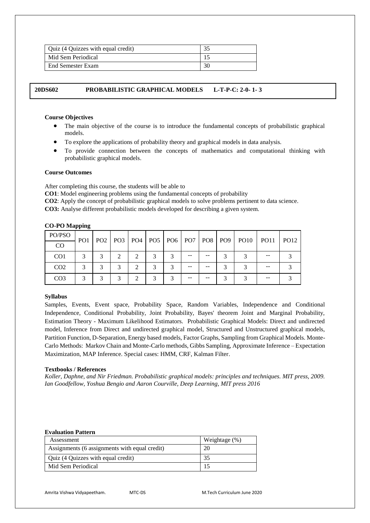| Quiz (4 Quizzes with equal credit) |    |
|------------------------------------|----|
| Mid Sem Periodical                 |    |
| <b>End Semester Exam</b>           | 30 |

# **20DS602 PROBABILISTIC GRAPHICAL MODELS L-T-P-C: 2-0- 1- 3**

### **Course Objectives**

- The main objective of the course is to introduce the fundamental concepts of probabilistic graphical models.
- To explore the applications of probability theory and graphical models in data analysis.
- To provide connection between the concepts of mathematics and computational thinking with probabilistic graphical models.

# **Course Outcomes**

After completing this course, the students will be able to

**CO1**: Model engineering problems using the fundamental concepts of probability

**CO2**: Apply the concept of probabilistic graphical models to solve problems pertinent to data science.

**CO3:** Analyse different probabilistic models developed for describing a given system.

| PO/PSO          | PO <sub>1</sub> |  |  |    |  | PO2   PO3   PO4   PO5   PO6   PO7   PO8   PO9   PO10 | PO11 | PO12 |
|-----------------|-----------------|--|--|----|--|------------------------------------------------------|------|------|
| CO              |                 |  |  |    |  |                                                      |      |      |
| CO <sub>1</sub> |                 |  |  |    |  |                                                      |      |      |
| CO <sub>2</sub> |                 |  |  | -- |  |                                                      |      |      |
| CO <sub>3</sub> |                 |  |  |    |  |                                                      |      |      |

#### **CO-PO Mapping**

# **Syllabus**

Samples, Events, Event space, Probability Space, Random Variables, Independence and Conditional Independence, Conditional Probability, Joint Probability, Bayes' theorem Joint and Marginal Probability, Estimation Theory - Maximum Likelihood Estimators. Probabilistic Graphical Models: Direct and undirected model, Inference from Direct and undirected graphical model, Structured and Unstructured graphical models, Partition Function, D-Separation, Energy based models, Factor Graphs, Sampling from Graphical Models. Monte-Carlo Methods: Markov Chain and Monte-Carlo methods, Gibbs Sampling, Approximate Inference – Expectation Maximization, MAP Inference. Special cases: HMM, CRF, Kalman Filter.

## **Textbooks / References**

*Koller, Daphne, and Nir Friedman. Probabilistic graphical models: principles and techniques. MIT press, 2009. Ian Goodfellow, Yoshua Bengio and Aaron Courville, Deep Learning, MIT press 2016*

### **Evaluation Pattern**

| Assessment                                    | Weightage $(\%)$ |
|-----------------------------------------------|------------------|
| Assignments (6 assignments with equal credit) | 20               |
| Quiz (4 Quizzes with equal credit)            | 35               |
| Mid Sem Periodical                            |                  |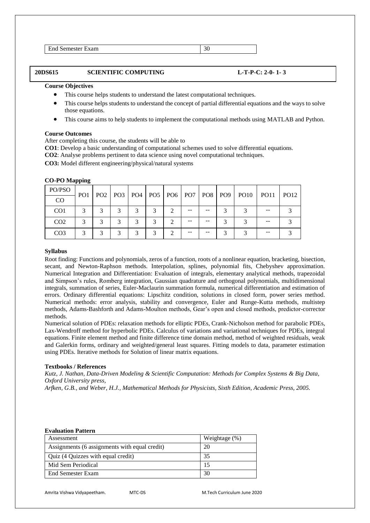End Semester Exam 30

**20DS615 SCIENTIFIC COMPUTING L-T-P-C: 2-0- 1- 3**

# **Course Objectives**

- This course helps students to understand the latest computational techniques.
- This course helps students to understand the concept of partial differential equations and the ways to solve those equations.
- This course aims to help students to implement the computational methods using MATLAB and Python.

# **Course Outcomes**

After completing this course, the students will be able to

**CO1**: Develop a basic understanding of computational schemes used to solve differential equations.

**CO2**: Analyse problems pertinent to data science using novel computational techniques.

**CO3:** Model different engineering/physical/natural systems

# **CO-PO Mapping**

| PO/PSO          | PO <sub>1</sub> |   |        |   |    |    | PO2   PO3   PO4   PO5   PO6   PO7   PO8   PO9   PO10 | PO11 | PO12 |
|-----------------|-----------------|---|--------|---|----|----|------------------------------------------------------|------|------|
| CO              |                 |   |        |   |    |    |                                                      |      |      |
| CO <sub>1</sub> | 2               | ⌒ | $\sim$ |   |    |    |                                                      | --   |      |
| CO <sub>2</sub> |                 | 3 |        |   | -- | -- |                                                      | --   |      |
| CO <sub>3</sub> | ⌒               | ⌒ |        | ⌒ |    |    |                                                      | --   |      |

# **Syllabus**

Root finding: Functions and polynomials, zeros of a function, roots of a nonlinear equation, bracketing, bisection, secant, and Newton-Raphson methods. Interpolation, splines, polynomial fits, Chebyshev approximation. Numerical Integration and Differentiation: Evaluation of integrals, elementary analytical methods, trapezoidal and Simpson's rules, Romberg integration, Gaussian quadrature and orthogonal polynomials, multidimensional integrals, summation of series, Euler-Maclaurin summation formula, numerical differentiation and estimation of errors. Ordinary differential equations: Lipschitz condition, solutions in closed form, power series method. Numerical methods: error analysis, stability and convergence, Euler and Runge-Kutta methods, multistep methods, Adams-Bashforth and Adams-Moulton methods, Gear's open and closed methods, predictor-corrector methods.

Numerical solution of PDEs: relaxation methods for elliptic PDEs, Crank-Nicholson method for parabolic PDEs, Lax-Wendroff method for hyperbolic PDEs. Calculus of variations and variational techniques for PDEs, integral equations. Finite element method and finite difference time domain method, method of weighted residuals, weak and Galerkin forms, ordinary and weighted/general least squares. Fitting models to data, parameter estimation using PDEs. Iterative methods for Solution of linear matrix equations.

# **Textbooks / References**

*Kutz, J. Nathan, Data-Driven Modeling & Scientific Computation: Methods for Complex Systems & Big Data, Oxford University press,* 

*Arfken, G.B., and Weber, H.J., Mathematical Methods for Physicists, Sixth Edition, Academic Press, 2005.*

#### **Evaluation Pattern**

| Assessment                                    | Weightage $(\%)$ |
|-----------------------------------------------|------------------|
| Assignments (6 assignments with equal credit) | 20               |
| Quiz (4 Quizzes with equal credit)            | 35               |
| Mid Sem Periodical                            |                  |
| End Semester Exam                             | 30               |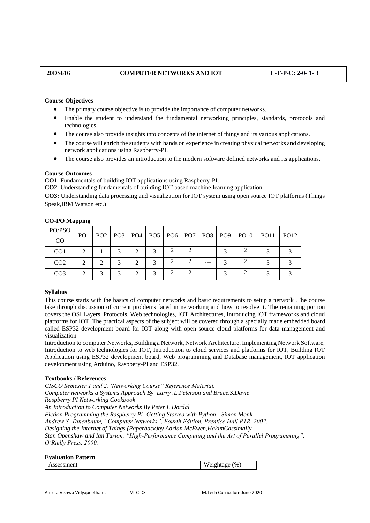# **20DS616 COMPUTER NETWORKS AND IOT L-T-P-C: 2-0- 1- 3**

### **Course Objectives**

- The primary course objective is to provide the importance of computer networks.
- Enable the student to understand the fundamental networking principles, standards, protocols and technologies.
- The course also provide insights into concepts of the internet of things and its various applications.
- The course will enrich the students with hands on experience in creating physical networks and developing network applications using Raspberry-PI.
- The course also provides an introduction to the modern software defined networks and its applications.

#### **Course Outcomes**

**CO1**: Fundamentals of building IOT applications using Raspberry-PI.

**CO2**: Understanding fundamentals of building IOT based machine learning application.

**CO3:** Understanding data processing and visualization for IOT system using open source IOT platforms (Things Speak,IBM Watson etc.)

| PO/PSO          | PO <sub>1</sub> |  |   |  | PO2   PO3   PO4   PO5   PO6   PO7   PO8   PO9 | <b>PO10</b> | PO <sub>11</sub> | <b>PO12</b> |
|-----------------|-----------------|--|---|--|-----------------------------------------------|-------------|------------------|-------------|
| CO              |                 |  |   |  |                                               |             |                  |             |
| CO <sub>1</sub> |                 |  |   |  | ---                                           |             |                  |             |
| CO <sub>2</sub> | $\mathcal{D}$   |  | ↑ |  | ---                                           |             |                  |             |
| CO <sub>3</sub> |                 |  |   |  | ---                                           |             |                  |             |

# **CO-PO Mapping**

#### **Syllabus**

This course starts with the basics of computer networks and basic requirements to setup a network .The course take through discussion of current problems faced in networking and how to resolve it. The remaining portion covers the OSI Layers, Protocols, Web technologies, IOT Architectures, Introducing IOT frameworks and cloud platforms for IOT. The practical aspects of the subject will be covered through a specially made embedded board called ESP32 development board for IOT along with open source cloud platforms for data management and visualization

Introduction to computer Networks, Building a Network, Network Architecture, Implementing Network Software, Introduction to web technologies for IOT, Introduction to cloud services and platforms for IOT, Building IOT Application using ESP32 development board, Web programming and Database management, IOT application development using Arduino, Raspbery-PI and ESP32.

#### **Textbooks / References**

*CISCO Semester 1 and 2,"Networking Course" Reference Material. Computer networks a Systems Approach By Larry .L.Peterson and Bruce.S.Davie Raspberry PI Networking Cookbook An Introduction to Computer Networks By Peter L Dordal Fiction Programming the Raspberry Pi- Getting Started with Python - Simon Monk Andrew S. Tanenbaum, "Computer Networks", Fourth Edition, Prentice Hall PTR, 2002. Designing the Internet of Things (Paperback)by Adrian McEwen,HakimCassimally Stan Openshaw and Ian Turton, "High-Performance Computing and the Art of Parallel Programming", O'Rielly Press, 2000.*

#### **Evaluation Pattern**

Assessment Weightage (%)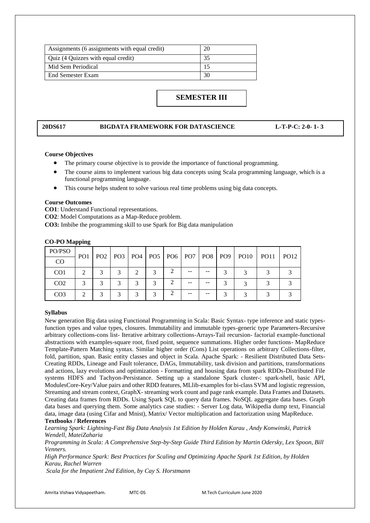| Assignments (6 assignments with equal credit) | 20 |
|-----------------------------------------------|----|
| Quiz (4 Quizzes with equal credit)            |    |
| Mid Sem Periodical                            |    |
| End Semester Exam                             |    |

# **SEMESTER III**

# **20DS617 BIGDATA FRAMEWORK FOR DATASCIENCE L-T-P-C: 2-0- 1- 3**

# **Course Objectives**

- The primary course objective is to provide the importance of functional programming.
- The course aims to implement various big data concepts using Scala programming language, which is a functional programming language.
- This course helps student to solve various real time problems using big data concepts.

#### **Course Outcomes**

**CO1**: Understand Functional representations.

**CO2**: Model Computations as a Map-Reduce problem.

**CO3:** Imbibe the programming skill to use Spark for Big data manipulation

# **CO-PO Mapping**

| PO/PSO          | PO <sub>1</sub> |   |   |   |    |  | PO2   PO3   PO4   PO5   PO6   PO7   PO8   PO9   PO10   PO11 | <b>PO12</b> |
|-----------------|-----------------|---|---|---|----|--|-------------------------------------------------------------|-------------|
| <sub>CO</sub>   |                 |   |   |   |    |  |                                                             |             |
| CO <sub>1</sub> | $\mathcal{D}$   | 2 | ◠ | 3 |    |  |                                                             |             |
| CO <sub>2</sub> |                 |   |   |   | -- |  |                                                             |             |
| CO <sub>3</sub> |                 |   |   |   | -- |  |                                                             |             |

#### **Syllabus**

New generation Big data using Functional Programming in Scala: Basic Syntax- type inference and static typesfunction types and value types, closures. Immutability and immutable types-generic type Parameters-Recursive arbitrary collections-cons list- Iterative arbitrary collections-Arrays-Tail recursion- factorial example-functional abstractions with examples-square root, fixed point, sequence summations. Higher order functions- MapReduce Template-Pattern Matching syntax. Similar higher order (Cons) List operations on arbitrary Collections-filter, fold, partition, span. Basic entity classes and object in Scala. Apache Spark: - Resilient Distributed Data Sets-Creating RDDs, Lineage and Fault tolerance, DAGs, Immutability, task division and partitions, transformations and actions, lazy evolutions and optimization - Formatting and housing data from spark RDDs-Distributed File systems HDFS and Tachyon-Persistance. Setting up a standalone Spark cluster-: spark-shell, basic API, ModulesCore-Key/Value pairs and other RDD features, MLlib-examples for bi-class SVM and logistic regression, Streaming and stream context, GraphX- streaming work count and page rank example. Data Frames and Datasets. Creating data frames from RDDs. Using Spark SQL to query data frames. NoSQL aggregate data bases. Graph data bases and querying them. Some analytics case studies: - Server Log data, Wikipedia dump text, Financial data, image data (using Cifar and Mnist), Matrix/ Vector multiplication and factorization using MapReduce.

# **Textbooks / References**

*Learning Spark: Lightning-Fast Big Data Analysis 1st Edition by Holden Karau , Andy Konwinski, Patrick Wendell, MateiZaharia*

*Programming in Scala: A Comprehensive Step-by-Step Guide Third Edition by Martin Odersky, Lex Spoon, Bill Venners.* 

*High Performance Spark: Best Practices for Scaling and Optimizing Apache Spark 1st Edition, by Holden Karau, Rachel Warren*

*Scala for the Impatient 2nd Edition, by Cay S. Horstmann*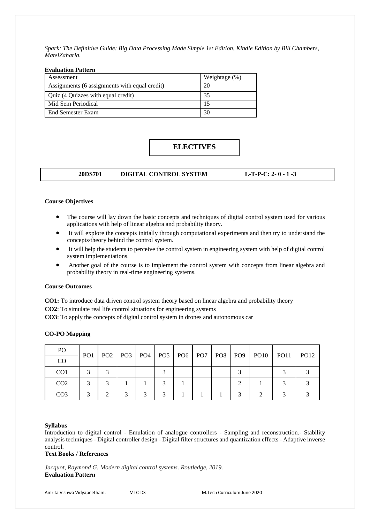*Spark: The Definitive Guide: Big Data Processing Made Simple 1st Edition, Kindle Edition by Bill Chambers, MateiZaharia.*

#### **Evaluation Pattern**

| Assessment                                    | Weightage (%) |
|-----------------------------------------------|---------------|
| Assignments (6 assignments with equal credit) | 20            |
| Quiz (4 Quizzes with equal credit)            | 35            |
| Mid Sem Periodical                            |               |
| End Semester Exam                             | 30            |

# **ELECTIVES**

# **20DS701 DIGITAL CONTROL SYSTEM L-T-P-C: 2- 0 - 1 -3**

# **Course Objectives**

- The course will lay down the basic concepts and techniques of digital control system used for various applications with help of linear algebra and probability theory.
- It will explore the concepts initially through computational experiments and then try to understand the concepts/theory behind the control system.
- It will help the students to perceive the control system in engineering system with help of digital control system implementations.
- Another goal of the course is to implement the control system with concepts from linear algebra and probability theory in real-time engineering systems.

#### **Course Outcomes**

**CO1:** To introduce data driven control system theory based on linear algebra and probability theory

- **CO2**: To simulate real life control situations for engineering systems
- **CO3**: To apply the concepts of digital control system in drones and autonomous car

| PO              |                 |  |        |  |  |                                                                    |  |
|-----------------|-----------------|--|--------|--|--|--------------------------------------------------------------------|--|
| CO              | PO <sub>1</sub> |  |        |  |  | PO2   PO3   PO4   PO5   PO6   PO7   PO8   PO9   PO10   PO11   PO12 |  |
| CO <sub>1</sub> |                 |  |        |  |  |                                                                    |  |
| CO <sub>2</sub> |                 |  |        |  |  |                                                                    |  |
| CO <sub>3</sub> |                 |  | $\sim$ |  |  |                                                                    |  |

#### **CO-PO Mapping**

# **Syllabus**

Introduction to digital control - Emulation of analogue controllers - Sampling and reconstruction.- Stability analysis techniques - Digital controller design - Digital filter structures and quantization effects - Adaptive inverse control.

# **Text Books / References**

*Jacquot, Raymond G. Modern digital control systems. Routledge, 2019.* **Evaluation Pattern**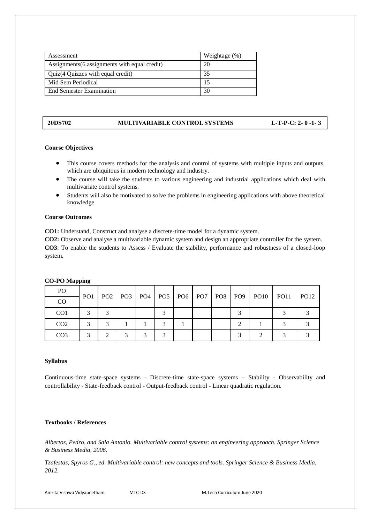| Assessment                                    | Weightage (%) |
|-----------------------------------------------|---------------|
| Assignments (6 assignments with equal credit) | 20            |
| Quiz(4 Quizzes with equal credit)             | 35            |
| Mid Sem Periodical                            |               |
| <b>End Semester Examination</b>               |               |

# **20DS702 MULTIVARIABLE CONTROL SYSTEMS L-T-P-C: 2- 0 -1- 3**

# **Course Objectives**

- This course covers methods for the analysis and control of systems with multiple inputs and outputs, which are ubiquitous in modern technology and industry.
- The course will take the students to various engineering and industrial applications which deal with multivariate control systems.
- Students will also be motivated to solve the problems in engineering applications with above theoretical knowledge

# **Course Outcomes**

**CO1:** Understand, Construct and analyse a discrete-time model for a dynamic system.

**CO2:** Observe and analyse a multivariable dynamic system and design an appropriate controller for the system. **CO3**: To enable the students to Assess / Evaluate the stability, performance and robustness of a closed-loop system.

| P <sub>O</sub>  |     |  |  |  |  | PO2   PO3   PO4   PO5   PO6   PO7   PO8   PO9   PO10   PO11   PO12 |  |
|-----------------|-----|--|--|--|--|--------------------------------------------------------------------|--|
| <sub>CO</sub>   | PO1 |  |  |  |  |                                                                    |  |
| CO <sub>1</sub> |     |  |  |  |  |                                                                    |  |
| CO <sub>2</sub> |     |  |  |  |  |                                                                    |  |
| CO <sub>3</sub> |     |  |  |  |  |                                                                    |  |

# **CO-PO Mapping**

## **Syllabus**

Continuous-time state-space systems - Discrete-time state-space systems – Stability - Observability and controllability - State-feedback control - Output-feedback control - Linear quadratic regulation.

# **Textbooks / References**

*Albertos, Pedro, and Sala Antonio. Multivariable control systems: an engineering approach. Springer Science & Business Media, 2006.* 

*Tzafestas, Spyros G., ed. Multivariable control: new concepts and tools. Springer Science & Business Media, 2012.*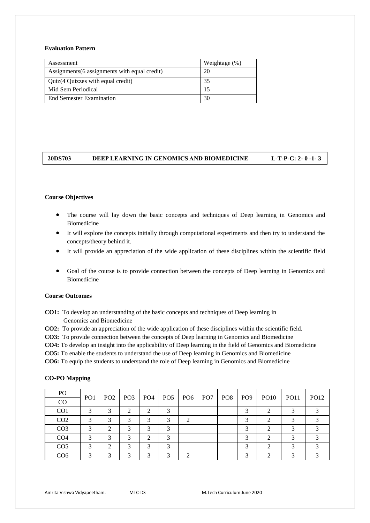# **Evaluation Pattern**

| Assessment                                    | Weightage $(\%)$ |
|-----------------------------------------------|------------------|
| Assignments (6 assignments with equal credit) | 20               |
| Quiz(4 Quizzes with equal credit)             | 35               |
| Mid Sem Periodical                            | 15               |
| <b>End Semester Examination</b>               | 30               |

# **20DS703 DEEP LEARNING IN GENOMICS AND BIOMEDICINE L-T-P-C: 2- 0 -1- 3**

# **Course Objectives**

- The course will lay down the basic concepts and techniques of Deep learning in Genomics and Biomedicine
- It will explore the concepts initially through computational experiments and then try to understand the concepts/theory behind it.
- It will provide an appreciation of the wide application of these disciplines within the scientific field
- Goal of the course is to provide connection between the concepts of Deep learning in Genomics and Biomedicine

# **Course Outcomes**

**CO1:** To develop an understanding of the basic concepts and techniques of Deep learning in Genomics and Biomedicine

**CO2:** To provide an appreciation of the wide application of these disciplines within the scientific field.

**CO3:** To provide connection between the concepts of Deep learning in Genomics and Biomedicine

**CO4:** To develop an insight into the applicability of Deep learning in the field of Genomics and Biomedicine

**CO5:** To enable the students to understand the use of Deep learning in Genomics and Biomedicine

**CO6:** To equip the students to understand the role of Deep learning in Genomics and Biomedicine

| PO              |                 |                 |                 |     |   |                                 |     |     |            |             |                  |             |
|-----------------|-----------------|-----------------|-----------------|-----|---|---------------------------------|-----|-----|------------|-------------|------------------|-------------|
| CO              | PO <sub>1</sub> | PO <sub>2</sub> | PO <sub>3</sub> | PO4 |   | PO <sub>5</sub> PO <sub>6</sub> | PO7 | PO8 | PO9        | <b>PO10</b> | PO <sub>11</sub> | <b>PO12</b> |
| CO <sub>1</sub> |                 |                 | $\mathcal{L}$   |     |   |                                 |     |     |            |             |                  |             |
| CO <sub>2</sub> | 2               | ◠               | 3               |     | 3 | ∍                               |     |     | $\bigcirc$ |             |                  |             |
| CO <sub>3</sub> | 3               | ◠               | 3               |     | 3 |                                 |     |     |            |             |                  |             |
| CO <sub>4</sub> |                 |                 | 3               |     | ◠ |                                 |     |     |            |             |                  |             |
| CO <sub>5</sub> | っ               | ◠               | 3               |     | 3 |                                 |     |     |            |             |                  |             |
| CO <sub>6</sub> |                 |                 | 2               |     |   |                                 |     |     |            |             |                  |             |

#### **CO-PO Mapping**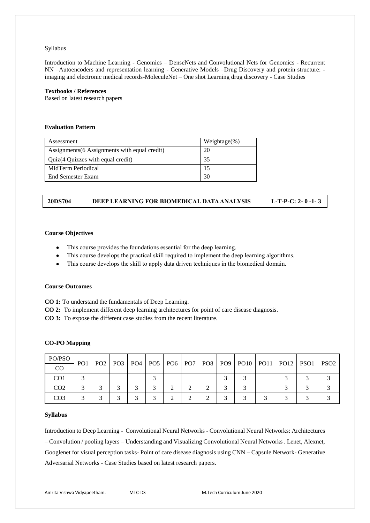Introduction to Machine Learning - Genomics – DenseNets and Convolutional Nets for Genomics - Recurrent NN –Autoencoders and representation learning - Generative Models –Drug Discovery and protein structure: imaging and electronic medical records-MoleculeNet – One shot Learning drug discovery - Case Studies

# **Textbooks / References**

Based on latest research papers

# **Evaluation Pattern**

| Assessment                                    | Weightage $(\%)$ |
|-----------------------------------------------|------------------|
| Assignments (6 Assignments with equal credit) | 20               |
| Quiz(4 Quizzes with equal credit)             | 35               |
| MidTerm Periodical                            | 15               |
| End Semester Exam                             | 30               |

# **20DS704 DEEP LEARNING FOR BIOMEDICAL DATA ANALYSIS L-T-P-C: 2- 0 -1- 3**

#### **Course Objectives**

- This course provides the foundations essential for the deep learning.
- This course develops the practical skill required to implement the deep learning algorithms.
- This course develops the skill to apply data driven techniques in the biomedical domain.

#### **Course Outcomes**

**CO 1:** To understand the fundamentals of Deep Learning.

**CO 2:** To implement different deep learning architectures for point of care disease diagnosis.

**CO 3:** To expose the different case studies from the recent literature.

# **CO-PO Mapping**

| PO/PSO          | PO <sub>1</sub> | PO <sub>2</sub> |  |  |  |  |  | PO3   PO4   PO5   PO6   PO7   PO8   PO9   PO10   PO11   PO12   PSO1   PSO2 |  |
|-----------------|-----------------|-----------------|--|--|--|--|--|----------------------------------------------------------------------------|--|
| $\rm CO$        |                 |                 |  |  |  |  |  |                                                                            |  |
| CO <sub>1</sub> |                 |                 |  |  |  |  |  |                                                                            |  |
| CO <sub>2</sub> |                 |                 |  |  |  |  |  |                                                                            |  |
| CO <sub>3</sub> |                 |                 |  |  |  |  |  |                                                                            |  |

#### **Syllabus**

Introduction to Deep Learning - Convolutional Neural Networks - Convolutional Neural Networks: Architectures – Convolution / pooling layers – Understanding and Visualizing Convolutional Neural Networks . Lenet, Alexnet, Googlenet for visual perception tasks- Point of care disease diagnosis using CNN – Capsule Network- Generative Adversarial Networks - Case Studies based on latest research papers.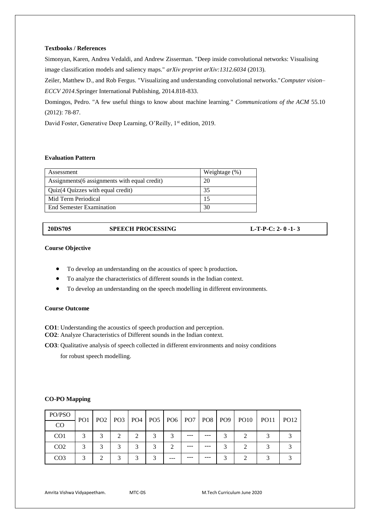# **Textbooks / References**

Simonyan, Karen, Andrea Vedaldi, and Andrew Zisserman. "Deep inside convolutional networks: Visualising image classification models and saliency maps." *arXiv preprint arXiv:1312.6034* (2013).

Zeiler, Matthew D., and Rob Fergus. "Visualizing and understanding convolutional networks."*Computer vision– ECCV 2014*.Springer International Publishing, 2014.818-833.

Domingos, Pedro. "A few useful things to know about machine learning." *Communications of the ACM* 55.10 (2012): 78-87.

David Foster, Generative Deep Learning, O'Reilly, 1<sup>st</sup> edition, 2019.

# **Evaluation Pattern**

| Assessment                                    | Weightage $(\%)$ |
|-----------------------------------------------|------------------|
| Assignments (6 assignments with equal credit) | 20               |
| Quiz(4 Quizzes with equal credit)             | 35               |
| Mid Term Periodical                           | 15               |
| <b>End Semester Examination</b>               | 30               |

| 20DS705 | <b>SPEECH PROCESSING</b> | L-T-P-C: 2- $0$ -1-3 |
|---------|--------------------------|----------------------|
|         |                          |                      |

# **Course Objective**

- To develop an understanding on the acoustics of speec h production**.**
- To analyze the characteristics of different sounds in the Indian context.
- To develop an understanding on the speech modelling in different environments.

### **Course Outcome**

**CO1**: Understanding the acoustics of speech production and perception.

**CO2**: Analyze Characteristics of Different sounds in the Indian context.

**CO3**: Qualitative analysis of speech collected in different environments and noisy conditions

for robust speech modelling.

# **CO-PO Mapping**

| PO/PSO          | PO <sub>1</sub> |   |                |               |   |     |         |         | PO2   PO3   PO4   PO5   PO6   PO7   PO8   PO9   PO10 | PO11 1 | <b>PO12</b> |
|-----------------|-----------------|---|----------------|---------------|---|-----|---------|---------|------------------------------------------------------|--------|-------------|
| CO              |                 |   |                |               |   |     |         |         |                                                      |        |             |
| CO <sub>1</sub> | 3               | 2 | $\mathfrak{D}$ | $\mathcal{D}$ | 2 |     | $- - -$ | ---     |                                                      |        |             |
| CO <sub>2</sub> |                 |   |                |               |   |     | ---     | $- - -$ |                                                      |        |             |
| CO <sub>3</sub> |                 |   |                |               |   | --- | ---     | $- - -$ |                                                      |        |             |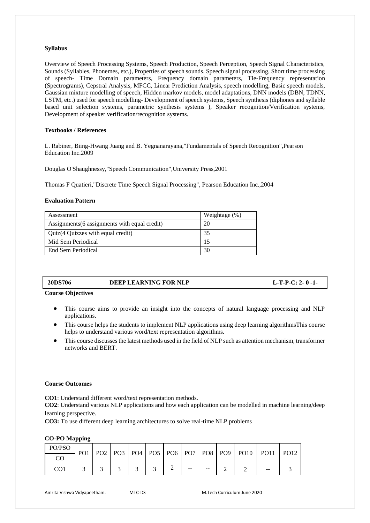Overview of Speech Processing Systems, Speech Production, Speech Perception, Speech Signal Characteristics, Sounds (Syllables, Phonemes, etc.), Properties of speech sounds. Speech signal processing, Short time processing of speech- Time Domain parameters, Frequency domain parameters, Tie-Frequency representation (Spectrograms), Cepstral Analysis, MFCC, Linear Prediction Analysis, speech modelling, Basic speech models, Gaussian mixture modelling of speech, Hidden markov models, model adaptations, DNN models (DBN, TDNN, LSTM, etc.) used for speech modelling- Development of speech systems, Speech synthesis (diphones and syllable based unit selection systems, parametric synthesis systems ), Speaker recognition/Verification systems, Development of speaker verification/recognition systems.

# **Textbooks / References**

L. Rabiner, Biing-Hwang Juang and B. Yegnanarayana,"Fundamentals of Speech Recognition",Pearson Education Inc.2009

Douglas O'Shaughnessy,"Speech Communication",University Press,2001

Thomas F Quatieri,"Discrete Time Speech Signal Processing", Pearson Education Inc.,2004

# **Evaluation Pattern**

| Assessment                                    | Weightage $(\%)$ |
|-----------------------------------------------|------------------|
| Assignments (6 assignments with equal credit) | 20               |
| Quiz(4 Quizzes with equal credit)             | 35               |
| Mid Sem Periodical                            |                  |
| End Sem Periodical                            | 30               |

| <b>20DS706</b> | DEEP LEARNING FOR NLP | $L-T-P-C: 2-0-1-$ |
|----------------|-----------------------|-------------------|
|----------------|-----------------------|-------------------|

**Course Objectives 3**

- This course aims to provide an insight into the concepts of natural language processing and NLP applications.
- This course helps the students to implement NLP applications using deep learning algorithmsThis course helps to understand various word/text representation algorithms.
- This course discusses the latest methods used in the field of NLP such as attention mechanism, transformer networks and BERT.

# **Course Outcomes**

**CO1**: Understand different word/text representation methods.

**CO2**: Understand various NLP applications and how each application can be modelled in machine learning/deep learning perspective.

**CO3:** To use different deep learning architectures to solve real-time NLP problems

# **CO-PO Mapping**

| PO/PSO | PO <sub>1</sub> |  |  |       |                   | PO2   PO3   PO4   PO5   PO6   PO7   PO8   PO9   PO10 | <b>PO11</b> | <b>PO12</b> |
|--------|-----------------|--|--|-------|-------------------|------------------------------------------------------|-------------|-------------|
| CO     |                 |  |  |       |                   |                                                      |             |             |
| CO1    |                 |  |  | $- -$ | $\qquad \qquad -$ |                                                      | $- -$       |             |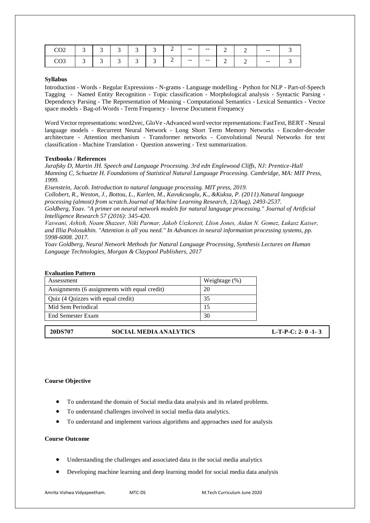| $\sim$<br>$\sim$ $\sim$ $\sim$ | ⌒<br>້ | - | ∽<br>- | $\sim$<br>ັ | $\sim$<br>້ | ∸<br>— | $- -$ | $- -$                    |   |     | $\overline{\phantom{m}}$ |  |
|--------------------------------|--------|---|--------|-------------|-------------|--------|-------|--------------------------|---|-----|--------------------------|--|
| $\sim$<br>しひり                  | ⌒<br>ັ | ັ |        | $\sim$<br>ຼ | ⌒<br>້      | ∸      | $- -$ | $\overline{\phantom{m}}$ | ∸ | . . | $- -$                    |  |

Introduction - Words - Regular Expressions - N-grams - Language modelling - Python for NLP - Part-of-Speech Tagging - Named Entity Recognition - Topic classification - Morphological analysis - Syntactic Parsing - Dependency Parsing - The Representation of Meaning - Computational Semantics - Lexical Semantics - Vector space models - Bag-of-Words - Term Frequency - Inverse Document Frequency

Word Vector representations: word2vec, GloVe -Advanced word vector representations: FastText, BERT - Neural language models - Recurrent Neural Network - Long Short Term Memory Networks - Encoder-decoder architecture - Attention mechanism - Transformer networks - Convolutional Neural Networks for text classification - Machine Translation - Question answering - Text summarization.

#### **Textbooks / References**

*Jurafsky D, Martin JH. Speech and Language Processing. 3rd edn Englewood Cliffs, NJ: Prentice-Hall Manning C, Schuetze H. Foundations of Statistical Natural Language Processing. Cambridge, MA: MIT Press, 1999.* 

*Eisenstein, Jacob. Introduction to natural language processing. MIT press, 2019.*

*Collobert, R., Weston, J., Bottou, L., Karlen, M., Kavukcuoglu, K., &Kuksa, P. (2011).Natural language processing (almost) from scratch.Journal of Machine Learning Research, 12(Aug), 2493-2537.*

*Goldberg, Yoav. "A primer on neural network models for natural language processing." Journal of Artificial Intelligence Research 57 (2016): 345-420.*

*Vaswani, Ashish, Noam Shazeer, Niki Parmar, Jakob Uszkoreit, Llion Jones, Aidan N. Gomez, Łukasz Kaiser, and Illia Polosukhin. "Attention is all you need." In Advances in neural information processing systems, pp. 5998-6008. 2017.* 

*Yoav Goldberg, Neural Network Methods for Natural Language Processing, Synthesis Lectures on Human Language Technologies, Morgan & Claypool Publishers, 2017*

| Assessment                                    | Weightage $(\%)$ |
|-----------------------------------------------|------------------|
| Assignments (6 assignments with equal credit) | 20               |
| Quiz (4 Quizzes with equal credit)            | 35               |
| Mid Sem Periodical                            |                  |
| End Semester Exam                             | 30               |

**20DS707 SOCIAL MEDIA ANALYTICS L-T-P-C: 2- 0 -1- 3**

#### **Course Objective**

- To understand the domain of Social media data analysis and its related problems.
- To understand challenges involved in social media data analytics.
- To understand and implement various algorithms and approaches used for analysis

#### **Course Outcome**

- Understanding the challenges and associated data in the social media analytics
- Developing machine learning and deep learning model for social media data analysis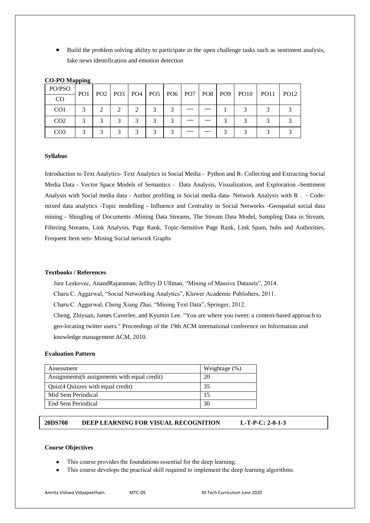Build the problem solving ability to participate in the open challenge tasks such as sentiment analysis, fake news identification and emotion detection

| PO/PSO          | PO <sub>1</sub> |   |  |  |         |         | PO2   PO3   PO4   PO5   PO6   PO7   PO8   PO9   PO10 | PO11 | $P_{O12}$ |
|-----------------|-----------------|---|--|--|---------|---------|------------------------------------------------------|------|-----------|
| CO              |                 |   |  |  |         |         |                                                      |      |           |
| CO <sub>1</sub> |                 |   |  |  | ---     | $- - -$ |                                                      |      |           |
| CO <sub>2</sub> |                 | ⌒ |  |  | ---     | ---     |                                                      |      |           |
| CO <sub>3</sub> |                 |   |  |  | $- - -$ | $- - -$ |                                                      |      |           |

# **CO-PO Mapping**

#### **Syllabus**

Introduction to Text Analytics- Text Analytics in Social Media - Python and R- Collecting and Extracting Social Media Data - [Vector Space Models of Semantics](https://www.google.co.in/url?sa=t&rct=j&q=&esrc=s&source=web&cd=17&ved=0ahUKEwiJlfnF9u3ZAhXIuI8KHdjaDxMQFgioATAQ&url=https%3A%2F%2Fwww.jair.org%2Fmedia%2F2934%2Flive-2934-4846-jair.pdf&usg=AOvVaw2PfGVIPRdam3OwpA5k05l9) - Data Analysis, Visualization, and Exploration -Sentiment Analysis with Social media data - Author profiling in Social media data- Network Analysis with R . - Codemixed data analytics -Topic modelling - Influence and Centrality in Social Networks -Geospatial social data mining **-** Shingling of Documents -Mining Data Streams, The Stream Data Model, Sampling Data in Stream, Filtering Streams, Link Analysis, Page Rank, Topic-Sensitive Page Rank, Link Spam, hubs and Authorities, Frequent Item sets- Mining Social network Graphs

# **Textbooks / References**

Jure Leskovec, AnandRajaraman, Jeffrey D Ullman, "Mining of Massive Datasets", 2014. Charu C. Aggarwal, "Social Networking Analytics", Kluwer Academic Publishers, 2011. Charu C. Aggarwal, Cheng Xiang Zhai, "Mining Text Data", Springer, 2012. Cheng, Zhiyuan, James Caverlee, and Kyumin Lee. "You are where you tweet: a content-based approach to geo-locating twitter users." Proceedings of the 19th ACM international conference on Information and knowledge management.ACM, 2010.

#### **Evaluation Pattern**

| Assessment                                    | Weightage $(\%)$ |
|-----------------------------------------------|------------------|
| Assignments (6 assignments with equal credit) | 20               |
| Quiz(4 Quizzes with equal credit)             | 35               |
| Mid Sem Periodical                            | 15               |
| End Sem Periodical                            | 30               |

# **20DS708 DEEP LEARNING FOR VISUAL RECOGNITION L-T-P-C: 2-0-1-3**

# **Course Objectives**

- This course provides the foundations essential for the deep learning.
- This course develops the practical skill required to implement the deep learning algorithms.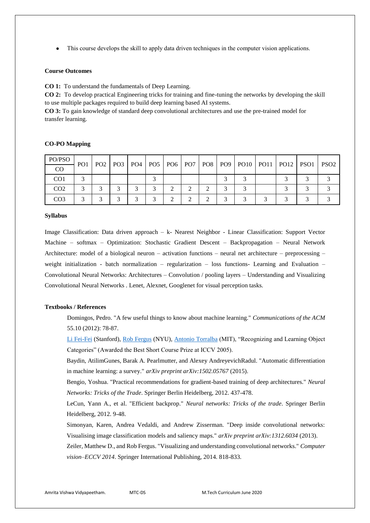This course develops the skill to apply data driven techniques in the computer vision applications.

# **Course Outcomes**

**CO 1:** To understand the fundamentals of Deep Learning.

**CO 2:** To develop practical Engineering tricks for training and fine-tuning the networks by developing the skill to use multiple packages required to build deep learning based AI systems.

**CO 3:** To gain knowledge of standard deep convolutional architectures and use the pre-trained model for transfer learning.

# **CO-PO Mapping**

| PO/PSO          | PO <sub>1</sub> |  |        |  |  |  | PO2   PO3   PO4   PO5   PO6   PO7   PO8   PO9   PO10   PO11   PO12   PSO1   PSO2 |  |
|-----------------|-----------------|--|--------|--|--|--|----------------------------------------------------------------------------------|--|
| CO              |                 |  |        |  |  |  |                                                                                  |  |
| CO <sub>1</sub> |                 |  |        |  |  |  |                                                                                  |  |
| CO <sub>2</sub> |                 |  |        |  |  |  |                                                                                  |  |
| CO <sub>3</sub> |                 |  | $\sim$ |  |  |  |                                                                                  |  |

#### **Syllabus**

Image Classification: Data driven approach – k- Nearest Neighbor - Linear Classification: Support Vector Machine – softmax – Optimization: Stochastic Gradient Descent – Backpropagation – Neural Network Architecture: model of a biological neuron – activation functions – neural net architecture – preprocessing – weight initialization - batch normalization – regularization – loss functions- Learning and Evaluation – Convolutional Neural Networks: Architectures – Convolution / pooling layers – Understanding and Visualizing Convolutional Neural Networks . Lenet, Alexnet, Googlenet for visual perception tasks.

#### **Textbooks / References**

Domingos, Pedro. "A few useful things to know about machine learning." *Communications of the ACM* 55.10 (2012): 78-87.

[Li Fei-Fei](http://www.cs.princeton.edu/~feifeili/) (Stanford), [Rob Fergus](http://www.robots.ox.ac.uk/~fergus/) (NYU), [Antonio Torralba](http://web.mit.edu/torralba/www/) (MIT), "Recognizing and Learning Object Categories" (Awarded the Best Short Course Prize at ICCV 2005).

Baydin, AtilimGunes, Barak A. Pearlmutter, and Alexey AndreyevichRadul. "Automatic differentiation in machine learning: a survey." *arXiv preprint arXiv:1502.05767* (2015).

Bengio, Yoshua. "Practical recommendations for gradient-based training of deep architectures." *Neural Networks: Tricks of the Trade*. Springer Berlin Heidelberg, 2012. 437-478.

LeCun, Yann A., et al. "Efficient backprop." *Neural networks: Tricks of the trade*. Springer Berlin Heidelberg, 2012. 9-48.

Simonyan, Karen, Andrea Vedaldi, and Andrew Zisserman. "Deep inside convolutional networks: Visualising image classification models and saliency maps." *arXiv preprint arXiv:1312.6034* (2013).

Zeiler, Matthew D., and Rob Fergus. "Visualizing and understanding convolutional networks." *Computer vision–ECCV 2014*. Springer International Publishing, 2014. 818-833.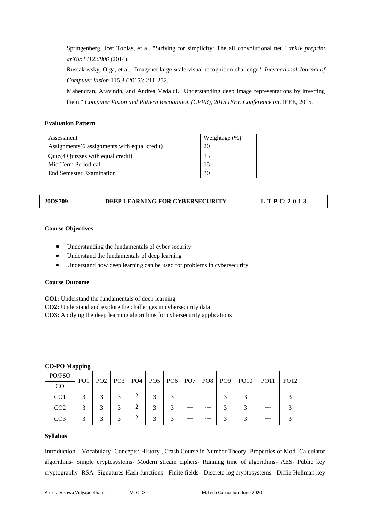Springenberg, Jost Tobias, et al. "Striving for simplicity: The all convolutional net." *arXiv preprint arXiv:1412.6806* (2014).

Russakovsky, Olga, et al. "Imagenet large scale visual recognition challenge." *International Journal of Computer Vision* 115.3 (2015): 211-252.

Mahendran, Aravindh, and Andrea Vedaldi. "Understanding deep image representations by inverting them." *Computer Vision and Pattern Recognition (CVPR), 2015 IEEE Conference on*. IEEE, 2015.

# **Evaluation Pattern**

| Assessment                                    | Weightage $(\%)$ |
|-----------------------------------------------|------------------|
| Assignments (6 assignments with equal credit) | 20               |
| Quiz(4 Quizzes with equal credit)             | 35               |
| Mid Term Periodical                           |                  |
| <b>End Semester Examination</b>               | 30               |

# **20DS709 DEEP LEARNING FOR CYBERSECURITY L-T-P-C: 2-0-1-3**

# **Course Objectives**

- Understanding the fundamentals of cyber security
- Understand the fundamentals of deep learning
- Understand how deep learning can be used for problems in cybersecurity

### **Course Outcome**

**CO1:** Understand the fundamentals of deep learning

**CO2:** Understand and explore the challenges in cybersecurity data

**CO3:** Applying the deep learning algorithms for cybersecurity applications

# **CO-PO Mapping**

| PO/PSO          | PO <sub>1</sub> |   |  |   |         |     | PO2   PO3   PO4   PO5   PO6   PO7   PO8   PO9   PO10 | $ $ PO11 | <b>PO12</b> |
|-----------------|-----------------|---|--|---|---------|-----|------------------------------------------------------|----------|-------------|
| CO              |                 |   |  |   |         |     |                                                      |          |             |
| CO <sub>1</sub> | 3               | 3 |  | ⌒ | ---     | --- |                                                      | ---      |             |
| CO <sub>2</sub> |                 |   |  |   | $- - -$ | --- |                                                      | ---      |             |
| CO <sub>3</sub> | ⌒               | ⌒ |  |   | $- - -$ | --- |                                                      | ---      |             |

#### **Syllabus**

Introduction – Vocabulary- Concepts: History , Crash Course in Number Theory -Properties of Mod- Calculator algorithms- Simple cryptosystems- Modern stream ciphers- Running time of algorithms- AES- Public key cryptography- RSA- Signatures-Hash functions- Finite fields- Discrete log cryptosystems - Diffie Hellman key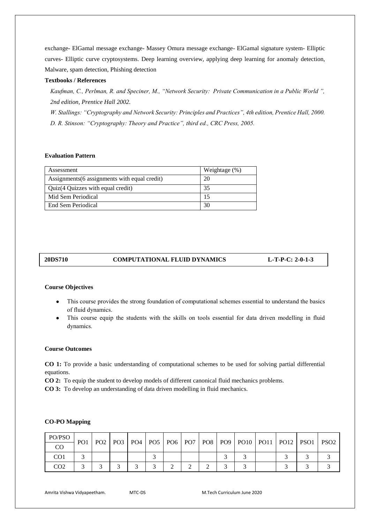exchange- ElGamal message exchange- Massey Omura message exchange- ElGamal signature system- Elliptic curves- Elliptic curve cryptosystems. Deep learning overview, applying deep learning for anomaly detection, Malware, spam detection, Phishing detection

# **Textbooks / References**

*Kaufman, C., Perlman, R. and Speciner, M., "Network Security: Private Communication in a Public World ", 2nd edition, Prentice Hall 2002.*

*W. Stallings: "Cryptography and Network Security: Principles and Practices", 4th edition, Prentice Hall, 2000. D. R. Stinson: "Cryptography: Theory and Practice", third ed., CRC Press, 2005.*

# **Evaluation Pattern**

| Assessment                                    | Weightage (%) |
|-----------------------------------------------|---------------|
| Assignments (6 assignments with equal credit) | 20            |
| Quiz(4 Quizzes with equal credit)             | 35            |
| Mid Sem Periodical                            | 15            |
| End Sem Periodical                            | 30            |

# **20DS710 COMPUTATIONAL FLUID DYNAMICS L-T-P-C: 2-0-1-3**

#### **Course Objectives**

- This course provides the strong foundation of computational schemes essential to understand the basics of fluid dynamics.
- This course equip the students with the skills on tools essential for data driven modelling in fluid dynamics.

# **Course Outcomes**

**CO-PO Mapping**

**CO 1:** To provide a basic understanding of computational schemes to be used for solving partial differential equations.

**CO 2:** To equip the student to develop models of different canonical fluid mechanics problems.

**CO 3:** To develop an understanding of data driven modelling in fluid mechanics.

|          |  | -- |  |  |
|----------|--|----|--|--|
|          |  |    |  |  |
|          |  |    |  |  |
|          |  |    |  |  |
|          |  |    |  |  |
|          |  |    |  |  |
| $DQ = Q$ |  |    |  |  |

| PO/PSO          |                 |  |  |  |  |  |                                                                                  |  |
|-----------------|-----------------|--|--|--|--|--|----------------------------------------------------------------------------------|--|
| CO              | PO <sub>1</sub> |  |  |  |  |  | PO2   PO3   PO4   PO5   PO6   PO7   PO8   PO9   PO10   PO11   PO12   PSO1   PSO2 |  |
| CO <sub>1</sub> |                 |  |  |  |  |  |                                                                                  |  |
| CO <sub>2</sub> |                 |  |  |  |  |  |                                                                                  |  |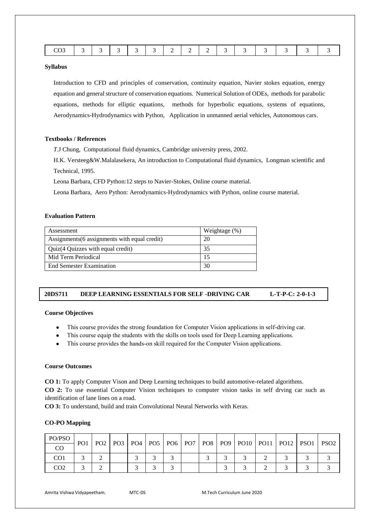|--|--|--|--|--|--|--|--|--|--|--|--|--|--|--|

Introduction to CFD and principles of conservation, continuity equation, Navier stokes equation, energy equation and general structure of conservation equations. Numerical Solution of ODEs, methods for parabolic equations, methods for elliptic equations, methods for hyperbolic equations, systems of equations, Aerodynamics-Hydrodynamics with Python, Application in unmanned aerial vehicles, Autonomous cars.

# **Textbooks / References**

*T*.J Chung, Computational fluid dynamics, Cambridge university press, 2002.

H.K. Versteeg&W.Malalasekera, An introduction to Computational fluid dynamics, Longman scientific and Technical, 1995.

Leona Barbara, CFD Python:12 steps to Navier-Stokes, Online course material.

Leona Barbara, Aero Python: Aerodynamics-Hydrodynamics with Python, online course material.

# **Evaluation Pattern**

| Assessment                                    | Weightage (%) |
|-----------------------------------------------|---------------|
| Assignments (6 assignments with equal credit) | 20            |
| Quiz(4 Quizzes with equal credit)             | 35            |
| Mid Term Periodical                           | 15            |
| End Semester Examination                      | 30            |

# **20DS711 DEEP LEARNING ESSENTIALS FOR SELF -DRIVING CAR L-T-P-C: 2-0-1-3**

#### **Course Objectives**

- This course provides the strong foundation for Computer Vision applications in self-driving car.
- This course equip the students with the skills on tools used for Deep Learning applications.
- This course provides the hands-on skill required for the Computer Vision applications.

# **Course Outcomes**

**CO 1:** To apply Computer Vison and Deep Learning techniques to build automotive-related algorithms. **CO 2:** To use essential Computer Vision techniques to computer vision tasks in self drving car such as identification of lane lines on a road.

**CO 3:** To understand, build and train Convolutional Neural Networks with Keras.

#### **CO-PO Mapping**

| PO/PSO          | PO <sub>1</sub> |   |  |  |  |  |  | PO2   PO3   PO4   PO5   PO6   PO7   PO8   PO9   PO10   PO11   PO12   PSO1   PSO2 |  |
|-----------------|-----------------|---|--|--|--|--|--|----------------------------------------------------------------------------------|--|
| CO              |                 |   |  |  |  |  |  |                                                                                  |  |
| CO1             |                 |   |  |  |  |  |  |                                                                                  |  |
| CO <sub>2</sub> |                 | ∸ |  |  |  |  |  |                                                                                  |  |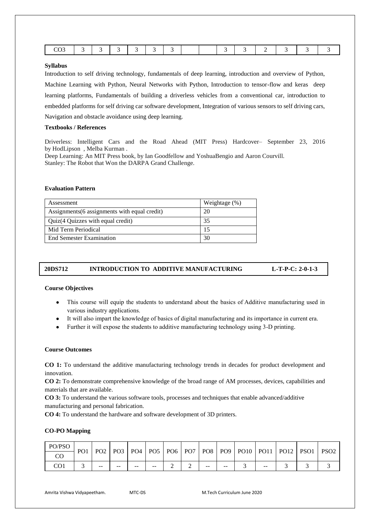|  | $\sim$ $\sim$ |
|--|---------------|
|--|---------------|

Introduction to self driving technology, fundamentals of deep learning, introduction and overview of Python, Machine Learning with Python, Neural Networks with Python, Introduction to tensor-flow and keras deep learning platforms, Fundamentals of building a driverless vehicles from a conventional car, introduction to embedded platforms for self driving car software development, Integration of various sensors to self driving cars, Navigation and obstacle avoidance using deep learning.

# **Textbooks / References**

Driverless: Intelligent Cars and the Road Ahead (MIT Press) Hardcover– September 23, 2016 by [HodLipson](https://www.amazon.com/Hod-Lipson/e/B008VGBM8E/ref=dp_byline_cont_book_1) [,](https://www.amazon.com/Melba-Kurman/e/B00AVQA2RO/ref=dp_byline_cont_book_2) [Melba Kurman](https://www.amazon.com/Melba-Kurman/e/B00AVQA2RO/ref=dp_byline_cont_book_2) .

Deep Learning: An MIT Press book, by Ian Goodfellow and YoshuaBengio and Aaron Courvill. Stanley: The Robot that Won the DARPA Grand Challenge.

# **Evaluation Pattern**

| Assessment                                    | Weightage (%) |
|-----------------------------------------------|---------------|
| Assignments (6 assignments with equal credit) | 20            |
| Quiz(4 Quizzes with equal credit)             | 35            |
| Mid Term Periodical                           |               |
| End Semester Examination                      | 30            |

# **20DS712 INTRODUCTION TO ADDITIVE MANUFACTURING L-T-P-C: 2-0-1-3**

#### **Course Objectives**

- This course will equip the students to understand about the basics of Additive manufacturing used in various industry applications.
- It will also impart the knowledge of basics of digital manufacturing and its importance in current era.
- Further it will expose the students to additive manufacturing technology using 3-D printing.

# **Course Outcomes**

**CO 1:** To understand the additive manufacturing technology trends in decades for product development and innovation.

**CO 2:** To demonstrate comprehensive knowledge of the broad range of AM processes, devices, capabilities and materials that are available.

**CO 3:** To understand the various software tools, processes and techniques that enable advanced/additive manufacturing and personal fabrication.

**CO 4:** To understand the hardware and software development of 3D printers.

# **CO-PO Mapping**

| PO/PSO | PO <sub>1</sub> | PO <sub>2</sub> |       |             |    |               |     |       |       | PO9   PO10   PO11   PO12   PSO1 | PSO <sub>2</sub> |
|--------|-----------------|-----------------|-------|-------------|----|---------------|-----|-------|-------|---------------------------------|------------------|
| CO     |                 |                 |       | $PO3$ $PO4$ |    | $POS$ PO6 PO7 | PO8 |       |       |                                 |                  |
| CO1    |                 | $- -$           | $- -$ | $- -$       | -- | ∸             | --  | $- -$ | $- -$ |                                 |                  |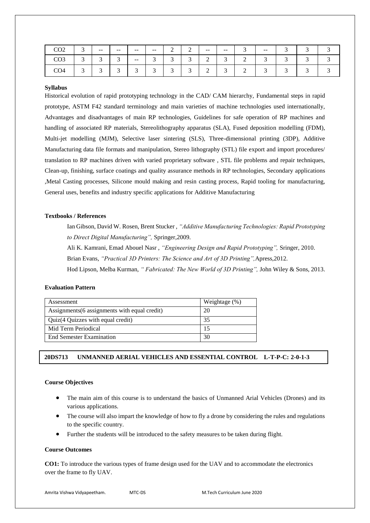| CO <sub>2</sub> | $\sqrt{2}$<br>◡ | $- -$       | $- -$           | $- -$           | $- -$           | $\overline{\phantom{0}}$ | $\sim$<br>∸ | $- -$       | $- -$           | ັ           | $- -$ | $\sqrt{2}$               |   |  |
|-----------------|-----------------|-------------|-----------------|-----------------|-----------------|--------------------------|-------------|-------------|-----------------|-------------|-------|--------------------------|---|--|
| CO <sub>3</sub> | $\sqrt{2}$<br>◡ | ⌒<br>ັ      | ╭<br>້          | $ -$            | $\sqrt{2}$<br>ຼ | ╭<br>້                   | $\sim$<br>ຼ | $\sim$<br>∸ | $\sqrt{2}$<br>ຼ | ∼           | ⌒     | $\overline{\phantom{0}}$ | ້ |  |
| CO <sub>4</sub> | $\sqrt{2}$<br>◡ | $\sim$<br>້ | $\sqrt{2}$<br>◡ | $\sqrt{2}$<br>້ | $\sqrt{2}$<br>້ | $\sim$<br>◡              | $\sim$<br>້ | $\sim$<br>∸ | $\sim$<br>◡     | $\sim$<br>∼ | ⌒     | ∽                        |   |  |

Historical evolution of rapid prototyping technology in the CAD/ CAM hierarchy, Fundamental steps in rapid prototype, ASTM F42 standard terminology and main varieties of machine technologies used internationally, Advantages and disadvantages of main RP technologies, Guidelines for safe operation of RP machines and handling of associated RP materials, Stereolithography apparatus (SLA), Fused deposition modelling (FDM), Multi-jet modelling (MJM), Selective laser sintering (SLS), Three-dimensional printing (3DP), Additive Manufacturing data file formats and manipulation, Stereo lithography (STL) file export and import procedures/ translation to RP machines driven with varied proprietary software , STL file problems and repair techniques, Clean-up, finishing, surface coatings and quality assurance methods in RP technologies, Secondary applications ,Metal Casting processes, Silicone mould making and resin casting process, Rapid tooling for manufacturing, General uses, benefits and industry specific applications for Additive Manufacturing

# **Textbooks / References**

Ian Gibson, David W. Rosen, Brent Stucker , *"Additive Manufacturing Technologies: Rapid Prototyping to Direct Digital Manufacturing",* Springer,2009.

Ali K. Kamrani, Emad Abouel Nasr , *"Engineering Design and Rapid Prototyping",* Sringer, 2010.

Brian Evans, *"Practical 3D Printers: The Science and Art of 3D Printing",*Apress,2012.

Hod Lipson, Melba Kurman, *" Fabricated: The New World of 3D Printing",* John Wiley & Sons, 2013.

### **Evaluation Pattern**

| Assessment                                    | Weightage $(\%)$ |
|-----------------------------------------------|------------------|
| Assignments (6 assignments with equal credit) | 20               |
| Quiz(4 Quizzes with equal credit)             | 35               |
| Mid Term Periodical                           | 15               |
| <b>End Semester Examination</b>               | 30               |

# **20DS713 UNMANNED AERIAL VEHICLES AND ESSENTIAL CONTROL L-T-P-C: 2-0-1-3**

#### **Course Objectives**

- The main aim of this course is to understand the basics of Unmanned Arial Vehicles (Drones) and its various applications.
- The course will also impart the knowledge of how to fly a drone by considering the rules and regulations to the specific country.
- Further the students will be introduced to the safety measures to be taken during flight.

#### **Course Outcomes**

**CO1:** To introduce the various types of frame design used for the UAV and to accommodate the electronics over the frame to fly UAV.

```
Amrita Vishwa Vidyapeetham. MTC-DS M.Tech Curriculum June 2020
```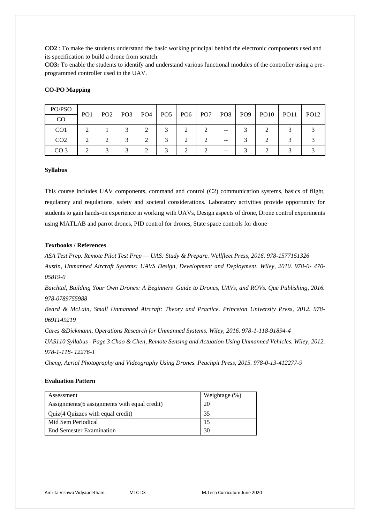**CO2** : To make the students understand the basic working principal behind the electronic components used and its specification to build a drone from scratch.

**CO3:** To enable the students to identify and understand various functional modules of the controller using a preprogrammed controller used in the UAV.

# **CO-PO Mapping**

| PO/PSO          |                 |                 |                 |                 |                 |                 |                 |     |                 |                  |             |             |
|-----------------|-----------------|-----------------|-----------------|-----------------|-----------------|-----------------|-----------------|-----|-----------------|------------------|-------------|-------------|
| CO              | PO <sub>1</sub> | PO <sub>2</sub> | PO <sub>3</sub> | PO <sub>4</sub> | PO <sub>5</sub> | PO <sub>6</sub> | PO <sub>7</sub> | PO8 | PO <sub>9</sub> | PO <sub>10</sub> | <b>PO11</b> | <b>PO12</b> |
| CO <sub>1</sub> |                 |                 |                 |                 |                 |                 |                 | --  |                 |                  |             |             |
| CO <sub>2</sub> |                 |                 | ⌒               |                 | ⌒               |                 |                 | --  |                 |                  |             |             |
| CO <sub>3</sub> |                 |                 |                 |                 | ⌒               |                 |                 |     |                 |                  | ⌒           |             |

#### **Syllabus**

This course includes UAV components, command and control (C2) communication systems, basics of flight, regulatory and regulations, safety and societal considerations. Laboratory activities provide opportunity for students to gain hands-on experience in working with UAVs, Design aspects of drone, Drone control experiments using MATLAB and parrot drones, PID control for drones, State space controls for drone

# **Textbooks / References**

*ASA Test Prep. Remote Pilot Test Prep — UAS: Study & Prepare. Wellfleet Press, 2016. 978-1577151326 Austin, Unmanned Aircraft Systems: UAVS Design, Development and Deployment. Wiley, 2010. 978-0- 470- 05819-0*

*Baichtal, Building Your Own Drones: A Beginners' Guide to Drones, UAVs, and ROVs. Que Publishing, 2016. 978-0789755988* 

*Beard & McLain, Small Unmanned Aircraft: Theory and Practice. Princeton University Press, 2012. 978- 0691149219* 

*Cares &Dickmann, Operations Research for Unmanned Systems. Wiley, 2016. 978-1-118-91894-4*

*UAS110 Syllabus - Page 3 Chao & Chen, Remote Sensing and Actuation Using Unmanned Vehicles. Wiley, 2012. 978-1-118- 12276-1* 

*Cheng, Aerial Photography and Videography Using Drones. Peachpit Press, 2015. 978-0-13-412277-9*

# **Evaluation Pattern**

| Assessment                                    | Weightage $(\%)$ |
|-----------------------------------------------|------------------|
| Assignments (6 assignments with equal credit) | 20               |
| Quiz(4 Quizzes with equal credit)             | 35               |
| Mid Sem Periodical                            |                  |
| <b>End Semester Examination</b>               | 30               |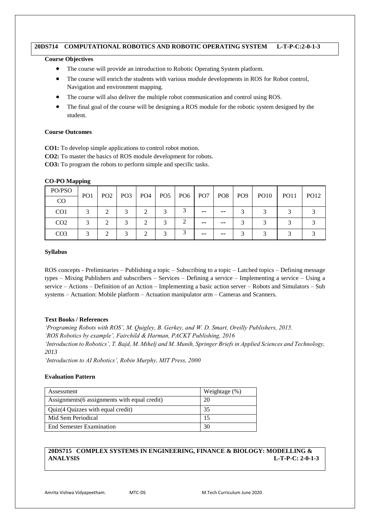# **20DS714 COMPUTATIONAL ROBOTICS AND ROBOTIC OPERATING SYSTEM L-T-P-C:2-0-1-3**

# **Course Objectives**

- The course will provide an introduction to Robotic Operating System platform.
- The course will enrich the students with various module developments in ROS for Robot control, Navigation and environment mapping.
- The course will also deliver the multiple robot communication and control using ROS.
- The final goal of the course will be designing a ROS module for the robotic system designed by the student.

# **Course Outcomes**

**CO1:** To develop simple applications to control robot motion.

**CO2:** To master the basics of ROS module development for robots.

**CO3:** To program the robots to perform simple and specific tasks.

# **CO-PO Mapping**

| PO/PSO          | PO <sub>1</sub>   | PO <sub>2</sub> | PO3 | PO <sub>4</sub> |   | $PO5$   PO6   PO7 |    |       | PO8   PO9 | <b>PO10</b> | <b>PO11</b> | <b>PO12</b> |
|-----------------|-------------------|-----------------|-----|-----------------|---|-------------------|----|-------|-----------|-------------|-------------|-------------|
| $_{\rm CO}$     |                   |                 |     |                 |   |                   |    |       |           |             |             |             |
| CO <sub>1</sub> |                   | ◠               |     |                 |   |                   | -- | --    |           |             |             |             |
| CO <sub>2</sub> | $\mathbf{\Omega}$ | ◠               | 2   | $\bigcap$       | ⌒ |                   | -- | $- -$ |           | ⌒           |             |             |
| CO <sub>3</sub> |                   | ◠               | 2   | $\bigcap$       |   |                   | -- | --    |           |             |             |             |

# **Syllabus**

ROS concepts - Preliminaries – Publishing a topic – Subscribing to a topic – Latched topics – Defining message types – Mixing Publishers and subscribers – Services – Defining a service – Implementing a service – Using a service – Actions – Definition of an Action – Implementing a basic action server – Robots and Simulators – Sub systems – Actuation: Mobile platform – Actuation manipulator arm – Cameras and Scanners.

# **Text Books / References**

*'Programing Robots with ROS', M. Quigley, B. Gerkey, and W. D. Smart, Oreilly Publishers, 2015. 'ROS Robotics by example', Fairchild & Harman, PACKT Publishing, 2016 'Introduction to Robotics', T. Bajd, M. Mihelj and M. Munih, Springer Briefs in Applied Sciences and Technology, 2013*

*'Introduction to AI Robotics', Robin Murphy, MIT Press, 2000*

# **Evaluation Pattern**

| Assessment                                    | Weightage $(\%)$ |
|-----------------------------------------------|------------------|
| Assignments (6 assignments with equal credit) | 20               |
| Quiz(4 Quizzes with equal credit)             | 35               |
| Mid Sem Periodical                            |                  |
| <b>End Semester Examination</b>               | 30               |

# **20DS715 COMPLEX SYSTEMS IN ENGINEERING, FINANCE & BIOLOGY: MODELLING & ANALYSIS L-T-P-C: 2-0-1-3**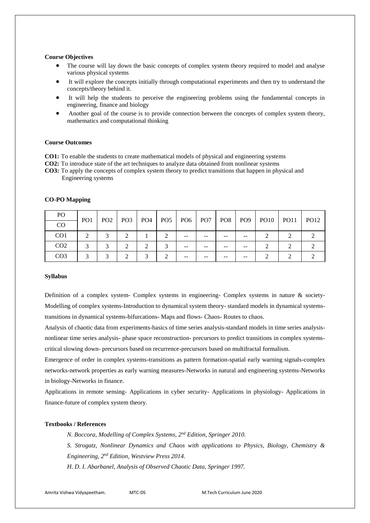#### **Course Objectives**

- The course will lay down the basic concepts of complex system theory required to model and analyse various physical systems
- It will explore the concepts initially through computational experiments and then try to understand the concepts/theory behind it.
- It will help the students to perceive the engineering problems using the fundamental concepts in engineering, finance and biology
- Another goal of the course is to provide connection between the concepts of complex system theory, mathematics and computational thinking

#### **Course Outcomes**

**CO1:** To enable the students to create mathematical models of physical and engineering systems

**CO2:** To introduce state of the art techniques to analyze data obtained from nonlinear systems

**CO3:** To apply the concepts of complex system theory to predict transitions that happen in physical and Engineering systems

| <b>CO-PO Mapping</b> |
|----------------------|
|----------------------|

| P <sub>O</sub>  |                         | PO <sub>2</sub> |                 |            |     | PO6   PO7 |    |    |    | PO8   PO9   PO10   PO11 |             |
|-----------------|-------------------------|-----------------|-----------------|------------|-----|-----------|----|----|----|-------------------------|-------------|
| CO              | PO <sub>1</sub>         |                 | PO <sub>3</sub> | $\mid$ PO4 | POS |           |    |    |    |                         | <b>PO12</b> |
| CO <sub>1</sub> |                         |                 |                 |            |     | $- -$     | -- | -- | -- |                         |             |
| CO <sub>2</sub> | $\mathbf{\overline{3}}$ | $\sim$          |                 | ↑          |     | $- -$     |    |    |    |                         |             |
| CO <sub>3</sub> |                         |                 |                 | $\bigcirc$ |     | --        |    |    |    |                         |             |

#### **Syllabus**

Definition of a complex system- Complex systems in engineering- Complex systems in nature & society-Modelling of complex systems-Introduction to dynamical system theory- standard models in dynamical systemstransitions in dynamical systems-bifurcations- Maps and flows- Chaos- Routes to chaos.

Analysis of chaotic data from experiments-basics of time series analysis-standard models in time series analysisnonlinear time series analysis- phase space reconstruction- precursors to predict transitions in complex systemscritical slowing down- precursors based on recurrence-precursors based on multifractal formalism.

Emergence of order in complex systems-transitions as pattern formation-spatial early warning signals-complex networks-network properties as early warning measures-Networks in natural and engineering systems-Networks in biology-Networks in finance.

Applications in remote sensing- Applications in cyber security- Applications in physiology- Applications in finance-future of complex system theory.

# **Textbooks / References**

*N. Boccora, Modelling of Complex Systems, 2nd Edition, Springer 2010.*

*S. Strogatz, Nonlinear Dynamics and Chaos with applications to Physics, Biology, Chemistry &* 

*Engineering, 2nd Edition, Westview Press 2014.*

*H. D. I. Abarbanel, Analysis of Observed Chaotic Data, Springer 1997.*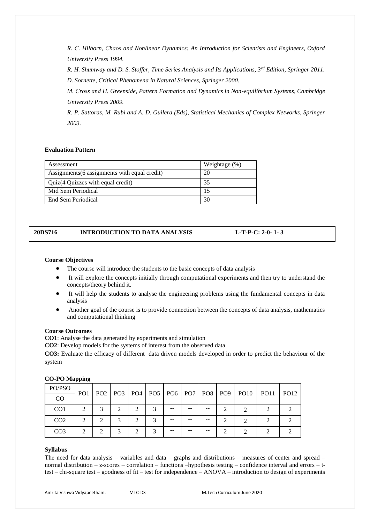*R. C. Hilborn, Chaos and Nonlinear Dynamics: An Introduction for Scientists and Engineers, Oxford University Press 1994.*

*R. H. Shumway and D. S. Stoffer, Time Series Analysis and Its Applications, 3rd Edition, Springer 2011. D. Sornette, Critical Phenomena in Natural Sciences, Springer 2000.*

*M. Cross and H. Greenside, Pattern Formation and Dynamics in Non-equilibrium Systems, Cambridge University Press 2009.*

*R. P. Sattoras, M. Rubi and A. D. Guilera (Eds), Statistical Mechanics of Complex Networks, Springer 2003.*

# **Evaluation Pattern**

| Assessment                                    | Weightage $(\%)$ |
|-----------------------------------------------|------------------|
| Assignments (6 assignments with equal credit) | 20               |
| Quiz(4 Quizzes with equal credit)             | 35               |
| Mid Sem Periodical                            |                  |
| End Sem Periodical                            | 30               |

# **20DS716 INTRODUCTION TO DATA ANALYSIS L-T-P-C: 2-0- 1- 3**

# **Course Objectives**

- The course will introduce the students to the basic concepts of data analysis
- It will explore the concepts initially through computational experiments and then try to understand the concepts/theory behind it.
- It will help the students to analyse the engineering problems using the fundamental concepts in data analysis
- Another goal of the course is to provide connection between the concepts of data analysis, mathematics and computational thinking

# **Course Outcomes**

**CO1**: Analyse the data generated by experiments and simulation

**CO2**: Develop models for the systems of interest from the observed data

**CO3:** Evaluate the efficacy of different data driven models developed in order to predict the behaviour of the system

| PO/PSO          | PO <sub>1</sub>             |                         |                             |  |    |  | PO2   PO3   PO4   PO5   PO6   PO7   PO8   PO9   PO10 | $PQ11$ $PQ12$ |  |
|-----------------|-----------------------------|-------------------------|-----------------------------|--|----|--|------------------------------------------------------|---------------|--|
| CO              |                             |                         |                             |  |    |  |                                                      |               |  |
| CO <sub>1</sub> | $\mathcal{D}_{\mathcal{L}}$ | $\mathbf{\overline{3}}$ | $\mathcal{D}_{\mathcal{L}}$ |  | -- |  |                                                      |               |  |
| CO <sub>2</sub> | ↑                           |                         |                             |  | -- |  |                                                      |               |  |
| CO <sub>3</sub> |                             |                         |                             |  |    |  |                                                      |               |  |

# **CO-PO Mapping**

# **Syllabus**

The need for data analysis – variables and data – graphs and distributions – measures of center and spread – normal distribution – z-scores – correlation – functions –hypothesis testing – confidence interval and errors – ttest – chi-square test – goodness of fit – test for independence – ANOVA – introduction to design of experiments